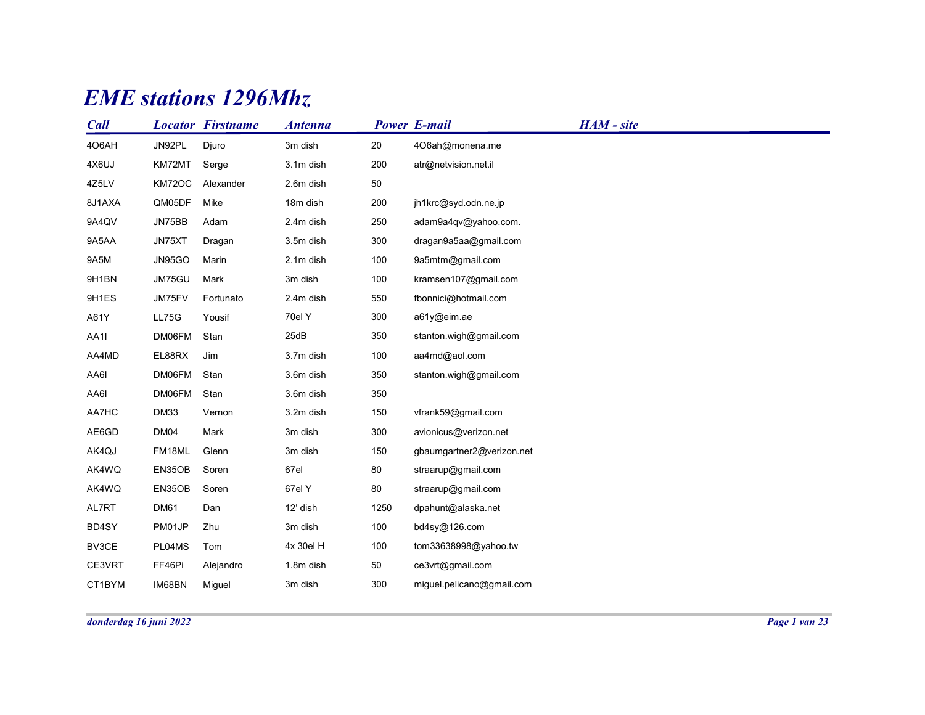## EME stations 1296Mhz

|        |             | <b>EME</b> stations 1296Mhz |                |      |                           |            |  |
|--------|-------------|-----------------------------|----------------|------|---------------------------|------------|--|
| Call   |             | <b>Locator Firstname</b>    | <b>Antenna</b> |      | <b>Power E-mail</b>       | HAM - site |  |
| 406AH  | JN92PL      | Djuro                       | 3m dish        | 20   | 4O6ah@monena.me           |            |  |
| 4X6UJ  | KM72MT      | Serge                       | 3.1m dish      | 200  | atr@netvision.net.il      |            |  |
| 4Z5LV  | KM72OC      | Alexander                   | 2.6m dish      | 50   |                           |            |  |
| 8J1AXA | QM05DF      | Mike                        | 18m dish       | 200  | jh1krc@syd.odn.ne.jp      |            |  |
| 9A4QV  | JN75BB      | Adam                        | 2.4m dish      | 250  | adam9a4qv@yahoo.com.      |            |  |
| 9A5AA  | JN75XT      | Dragan                      | 3.5m dish      | 300  | dragan9a5aa@gmail.com     |            |  |
| 9A5M   | JN95GO      | Marin                       | 2.1m dish      | 100  | 9a5mtm@gmail.com          |            |  |
| 9H1BN  | JM75GU      | Mark                        | 3m dish        | 100  | kramsen107@gmail.com      |            |  |
| 9H1ES  | JM75FV      | Fortunato                   | 2.4m dish      | 550  | fbonnici@hotmail.com      |            |  |
| A61Y   | LL75G       | Yousif                      | 70el Y         | 300  | a61y@eim.ae               |            |  |
| AA1I   | DM06FM      | Stan                        | 25dB           | 350  | stanton.wigh@gmail.com    |            |  |
| AA4MD  | EL88RX      | Jim                         | 3.7m dish      | 100  | aa4md@aol.com             |            |  |
| AA6I   | DM06FM      | Stan                        | 3.6m dish      | 350  | stanton.wigh@gmail.com    |            |  |
| AA6I   | DM06FM      | Stan                        | 3.6m dish      | 350  |                           |            |  |
| AA7HC  | <b>DM33</b> | Vernon                      | 3.2m dish      | 150  | vfrank59@gmail.com        |            |  |
| AE6GD  | DM04        | Mark                        | 3m dish        | 300  | avionicus@verizon.net     |            |  |
| AK4QJ  | FM18ML      | Glenn                       | 3m dish        | 150  | gbaumgartner2@verizon.net |            |  |
| AK4WQ  | EN35OB      | Soren                       | 67el           | 80   | straarup@gmail.com        |            |  |
| AK4WQ  | EN35OB      | Soren                       | 67el Y         | 80   | straarup@gmail.com        |            |  |
| AL7RT  | DM61        | Dan                         | 12' dish       | 1250 | dpahunt@alaska.net        |            |  |
| BD4SY  | PM01JP      | Zhu                         | 3m dish        | 100  | bd4sy@126.com             |            |  |
| BV3CE  | PL04MS      | Tom                         | 4x 30el H      | 100  | tom33638998@yahoo.tw      |            |  |
| CE3VRT | FF46Pi      | Alejandro                   | 1.8m dish      | 50   | ce3vrt@gmail.com          |            |  |
| CT1BYM | IM68BN      | Miguel                      | 3m dish        | 300  | miguel.pelicano@gmail.com |            |  |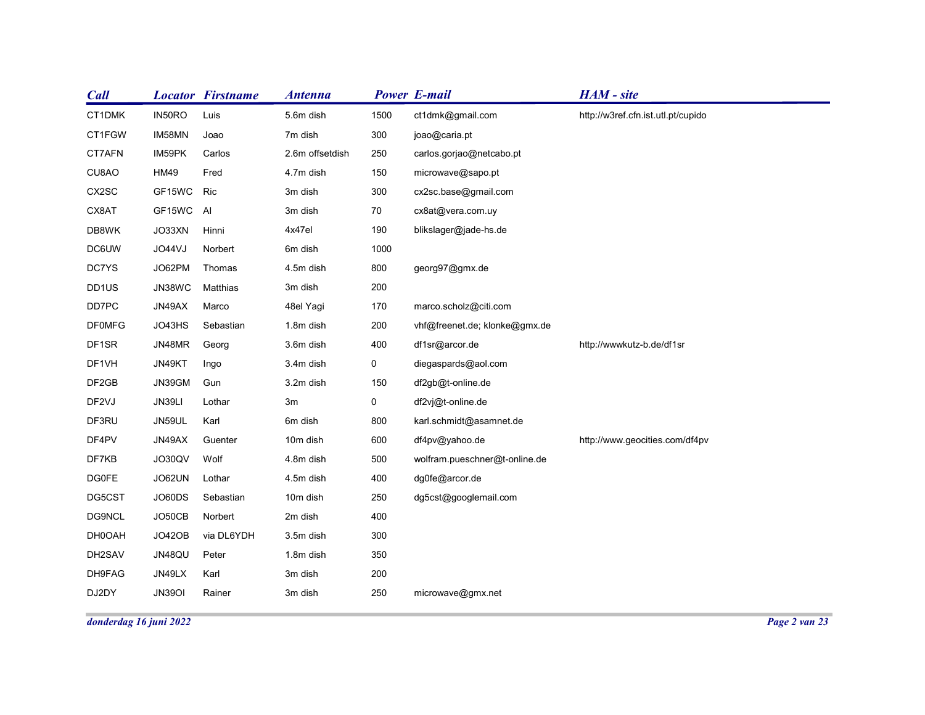| <b>Call</b>    |                        | <b>Locator Firstname</b> | <b>Antenna</b>      |             | <b>Power E-mail</b>                       | HAM - site                         |  |
|----------------|------------------------|--------------------------|---------------------|-------------|-------------------------------------------|------------------------------------|--|
| CT1DMK         | IN50RO                 | Luis                     | 5.6m dish           | 1500        | ct1dmk@gmail.com                          | http://w3ref.cfn.ist.utl.pt/cupido |  |
| CT1FGW         | IM58MN                 | Joao                     | 7m dish             | 300         | joao@caria.pt                             |                                    |  |
| CT7AFN         | IM59PK                 | Carlos                   | 2.6m offsetdish     | 250         | carlos.gorjao@netcabo.pt                  |                                    |  |
| CU8AO          | <b>HM49</b>            | Fred                     | 4.7m dish           | 150         | microwave@sapo.pt                         |                                    |  |
| CX2SC          | GF15WC Ric             |                          | 3m dish             | 300         | cx2sc.base@gmail.com                      |                                    |  |
| CX8AT          | GF15WC AI              |                          | 3m dish             | 70          | cx8at@vera.com.uy                         |                                    |  |
| DB8WK          | JO33XN                 | Hinni                    | 4x47el              | 190         | blikslager@jade-hs.de                     |                                    |  |
| DC6UW          | JO44VJ                 | Norbert                  | 6m dish             | 1000        |                                           |                                    |  |
| DC7YS          | JO62PM                 | Thomas                   | 4.5m dish           | 800         | georg97@gmx.de                            |                                    |  |
| DD1US          | JN38WC                 | Matthias                 | 3m dish             | 200         |                                           |                                    |  |
| DD7PC          | JN49AX                 | Marco                    | 48el Yagi           | 170         | marco.scholz@citi.com                     |                                    |  |
| <b>DF0MFG</b>  | JO43HS                 | Sebastian                | 1.8m dish           | 200         | vhf@freenet.de; klonke@gmx.de             |                                    |  |
| DF1SR          | JN48MR                 | Georg                    | 3.6m dish           | 400         | df1sr@arcor.de                            | http://wwwkutz-b.de/df1sr          |  |
| DF1VH          | JN49KT                 | Ingo                     | 3.4m dish           | $\mathbf 0$ | diegaspards@aol.com                       |                                    |  |
| DF2GB          | JN39GM                 | Gun                      | 3.2m dish           | 150         | df2gb@t-online.de                         |                                    |  |
| DF2VJ          | JN39LI                 | Lothar                   | 3m                  | $\mathbf 0$ | df2vj@t-online.de                         |                                    |  |
| DF3RU<br>DF4PV | JN59UL<br>JN49AX       | Karl<br>Guenter          | 6m dish<br>10m dish | 800<br>600  | karl.schmidt@asamnet.de<br>df4pv@yahoo.de | http://www.geocities.com/df4pv     |  |
| DF7KB          | JO30QV                 | Wolf                     | 4.8m dish           | 500         | wolfram.pueschner@t-online.de             |                                    |  |
| <b>DG0FE</b>   | JO62UN                 | Lothar                   | 4.5m dish           | 400         | dg0fe@arcor.de                            |                                    |  |
| DG5CST         | JO60DS                 | Sebastian                | 10m dish            | 250         | dg5cst@googlemail.com                     |                                    |  |
| DG9NCL         | JO50CB                 | Norbert                  | 2m dish             | 400         |                                           |                                    |  |
| DH0OAH         | JO42OB                 | via DL6YDH               | 3.5m dish           | 300         |                                           |                                    |  |
| DH2SAV         | JN48QU                 | Peter                    | 1.8m dish           | 350         |                                           |                                    |  |
| DH9FAG         | JN49LX                 | Karl                     | 3m dish             | 200         |                                           |                                    |  |
|                | <b>JN39OI</b>          | Rainer                   | 3m dish             | 250         | microwave@gmx.net                         |                                    |  |
| DJ2DY          |                        |                          |                     |             |                                           |                                    |  |
|                | donderdag 16 juni 2022 |                          |                     |             |                                           |                                    |  |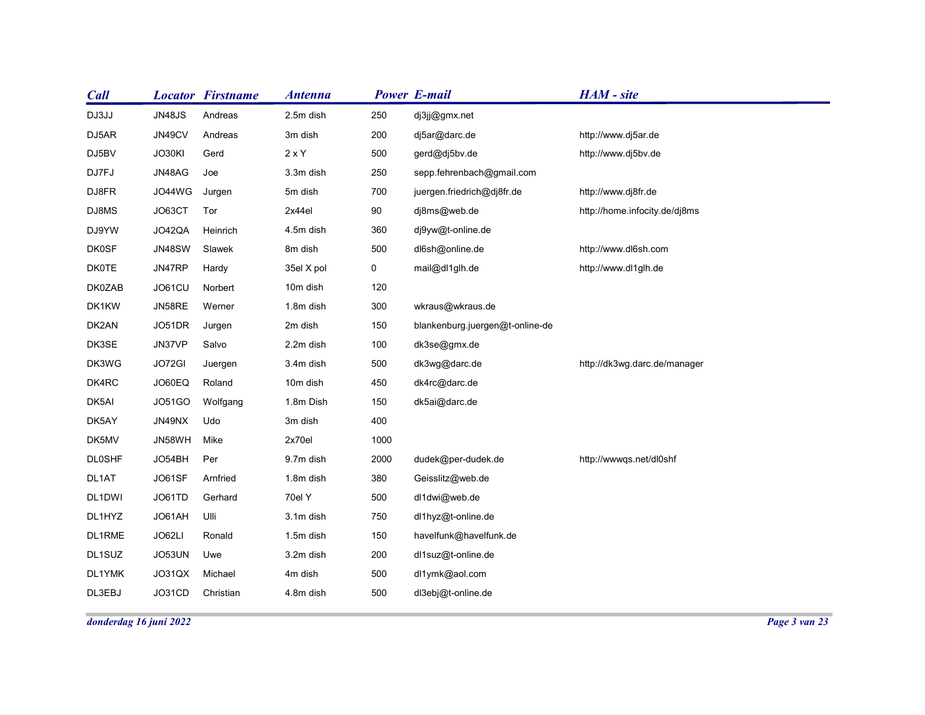| <b>Call</b>            | <b>Locator Firstname</b>        | <b>Antenna</b>    |             | <b>Power E-mail</b>             | HAM - site                    |  |
|------------------------|---------------------------------|-------------------|-------------|---------------------------------|-------------------------------|--|
| DJ3JJ                  | <b>JN48JS</b><br>Andreas        | 2.5m dish         | 250         | dj3jj@gmx.net                   |                               |  |
| DJ5AR                  | JN49CV<br>Andreas               | 3m dish           | 200         | dj5ar@darc.de                   | http://www.dj5ar.de           |  |
| DJ5BV                  | JO30KI<br>Gerd                  | $2 \times Y$      | 500         | gerd@dj5bv.de                   | http://www.dj5bv.de           |  |
| DJ7FJ                  | JN48AG<br>Joe                   | 3.3m dish         | 250         | sepp.fehrenbach@gmail.com       |                               |  |
| DJ8FR                  | JO44WG<br>Jurgen                | 5m dish           | 700         | juergen.friedrich@dj8fr.de      | http://www.dj8fr.de           |  |
| DJ8MS                  | JO63CT<br>Tor                   | 2x44el            | 90          | dj8ms@web.de                    | http://home.infocity.de/dj8ms |  |
| DJ9YW                  | JO42QA<br>Heinrich              | 4.5m dish         | 360         | dj9yw@t-online.de               |                               |  |
| <b>DK0SF</b>           | <b>JN48SW</b><br>Slawek         | 8m dish           | 500         | dl6sh@online.de                 | http://www.dl6sh.com          |  |
| <b>DK0TE</b>           | JN47RP<br>Hardy                 | 35el X pol        | $\mathbf 0$ | mail@dl1glh.de                  | http://www.dl1glh.de          |  |
| DK0ZAB                 | JO61CU<br>Norbert               | 10m dish          | 120         |                                 |                               |  |
| DK1KW                  | JN58RE<br>Werner                | 1.8m dish         | 300         | wkraus@wkraus.de                |                               |  |
| DK2AN                  | JO51DR<br>Jurgen                | 2m dish           | 150         | blankenburg.juergen@t-online-de |                               |  |
| DK3SE                  | JN37VP<br>Salvo                 | 2.2m dish         | 100         | dk3se@gmx.de                    |                               |  |
| DK3WG                  | JO72GI<br>Juergen               | 3.4m dish         | 500         | dk3wg@darc.de                   | http://dk3wg.darc.de/manager  |  |
| DK4RC                  | JO60EQ<br>Roland                | 10m dish          | 450         | dk4rc@darc.de                   |                               |  |
| DK5AI                  | J051GO<br>Wolfgang              | 1.8m Dish         | 150         | dk5ai@darc.de                   |                               |  |
| DK5AY                  | JN49NX<br>Udo<br>JN58WH<br>Mike | 3m dish<br>2x70el | 400<br>1000 |                                 |                               |  |
| DK5MV<br><b>DL0SHF</b> | JO54BH<br>Per                   | 9.7m dish         | 2000        | dudek@per-dudek.de              | http://wwwqs.net/dl0shf       |  |
| DL1AT                  | JO61SF<br>Arnfried              | 1.8m dish         | 380         | Geisslitz@web.de                |                               |  |
| DL1DWI                 | JO61TD<br>Gerhard               | 70el Y            | 500         | dl1dwi@web.de                   |                               |  |
| DL1HYZ                 | Ulli<br>JO61AH                  | 3.1m dish         | 750         | dl1hyz@t-online.de              |                               |  |
| DL1RME                 | JO62LI<br>Ronald                | 1.5m dish         | 150         | havelfunk@havelfunk.de          |                               |  |
| DL1SUZ                 | JO53UN<br>Uwe                   | 3.2m dish         | 200         | dl1suz@t-online.de              |                               |  |
|                        | Michael<br>JO31QX               | 4m dish           | 500         | dl1ymk@aol.com                  |                               |  |
|                        |                                 |                   |             |                                 |                               |  |
| DL1YMK<br>DL3EBJ       | JO31CD<br>Christian             | 4.8m dish         | 500         | dl3ebj@t-online.de              |                               |  |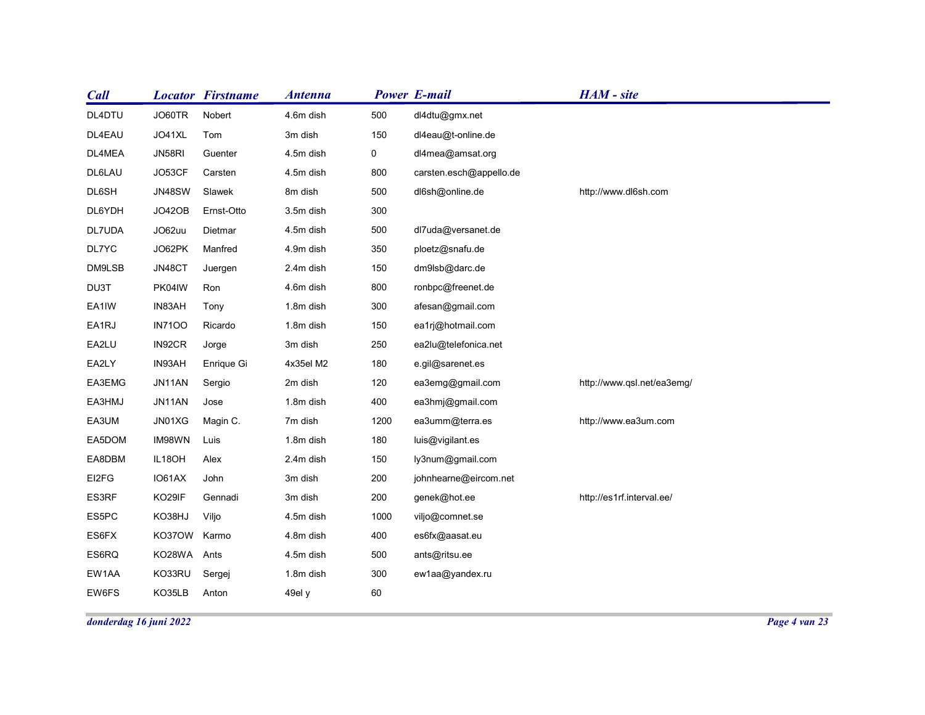| <b>Call</b>    |                  | <b>Locator Firstname</b> | <b>Antenna</b>         |             | <b>Power E-mail</b>              | HAM - site                 |  |
|----------------|------------------|--------------------------|------------------------|-------------|----------------------------------|----------------------------|--|
| DL4DTU         | JO60TR           | Nobert                   | 4.6m dish              | 500         | dl4dtu@gmx.net                   |                            |  |
| DL4EAU         | JO41XL           | Tom                      | 3m dish                | 150         | dl4eau@t-online.de               |                            |  |
| DL4MEA         | JN58RI           | Guenter                  | 4.5m dish              | $\mathbf 0$ | dl4mea@amsat.org                 |                            |  |
| DL6LAU         | JO53CF           | Carsten                  | 4.5m dish              | 800         | carsten.esch@appello.de          |                            |  |
| DL6SH          | <b>JN48SW</b>    | Slawek                   | 8m dish                | 500         | dl6sh@online.de                  | http://www.dl6sh.com       |  |
| DL6YDH         | JO42OB           | Ernst-Otto               | 3.5m dish              | 300         |                                  |                            |  |
| DL7UDA         | JO62uu           | Dietmar                  | 4.5m dish              | 500         | dl7uda@versanet.de               |                            |  |
| DL7YC          | JO62PK           | Manfred                  | 4.9m dish              | 350         | ploetz@snafu.de                  |                            |  |
| DM9LSB         | JN48CT           | Juergen                  | 2.4m dish              | 150         | dm9lsb@darc.de                   |                            |  |
| DU3T           | PK04IW           | Ron                      | 4.6m dish              | 800         | ronbpc@freenet.de                |                            |  |
| EA1IW          | IN83AH           | Tony                     | 1.8m dish              | 300         | afesan@gmail.com                 |                            |  |
| EA1RJ          | <b>IN7100</b>    | Ricardo                  | 1.8m dish              | 150         | ea1rj@hotmail.com                |                            |  |
| EA2LU          | IN92CR           | Jorge                    | 3m dish                | 250         | ea2lu@telefonica.net             |                            |  |
| EA2LY          | IN93AH           | Enrique Gi               | 4x35el M2              | 180         | e.gil@sarenet.es                 |                            |  |
| EA3EMG         | JN11AN           | Sergio                   | 2m dish                | 120         | ea3emg@gmail.com                 | http://www.qsl.net/ea3emg/ |  |
| EA3HMJ         | JN11AN           | Jose                     | 1.8m dish              | 400         | ea3hmj@gmail.com                 |                            |  |
| EA3UM          | JN01XG           | Magin C.                 | 7m dish                | 1200        | ea3umm@terra.es                  | http://www.ea3um.com       |  |
| EA5DOM         | IM98WN           | Luis                     | 1.8m dish              | 180         | luis@vigilant.es                 |                            |  |
| EA8DBM         | IL18OH           | Alex                     | 2.4m dish              | 150         | ly3num@gmail.com                 |                            |  |
| EI2FG          | IO61AX           | John                     | 3m dish                | 200         | johnhearne@eircom.net            |                            |  |
| ES3RF          | KO29IF           | Gennadi                  | 3m dish                | 200         | genek@hot.ee                     | http://es1rf.interval.ee/  |  |
| ES5PC          | KO38HJ           | Viljo                    | 4.5m dish              | 1000        | viljo@comnet.se                  |                            |  |
| ES6FX<br>ES6RQ | KO37OW Karmo     |                          | 4.8m dish              | 400         | es6fx@aasat.eu                   |                            |  |
|                | KO28WA Ants      |                          | 4.5m dish<br>1.8m dish | 500<br>300  | ants@ritsu.ee<br>ew1aa@yandex.ru |                            |  |
|                |                  | Sergej                   |                        |             |                                  |                            |  |
| EW1AA<br>EW6FS | KO33RU<br>KO35LB | Anton                    | 49el y                 | 60          |                                  |                            |  |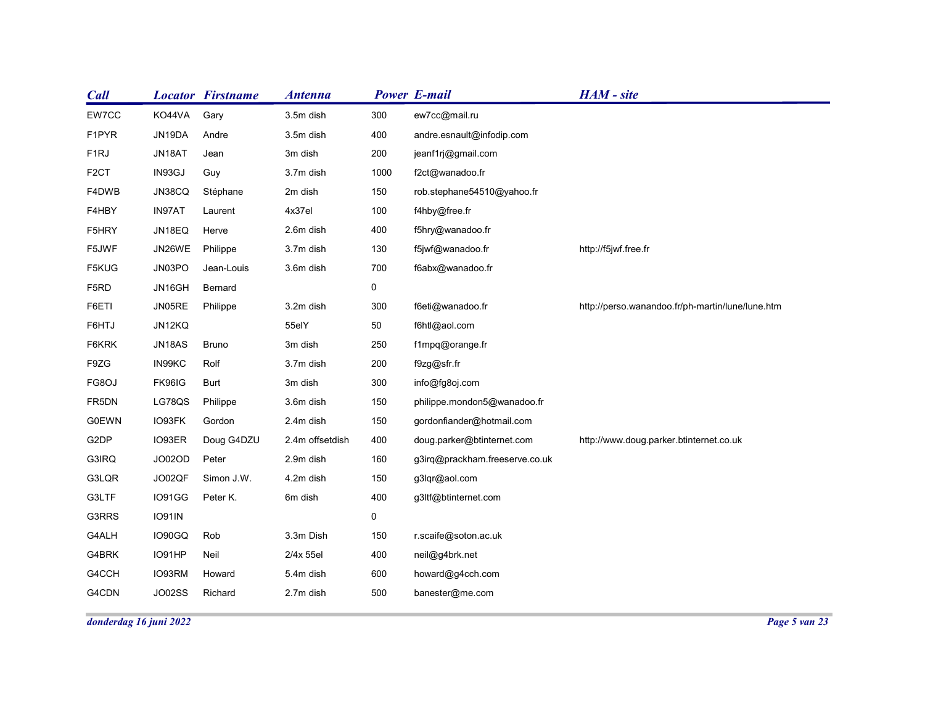| <b>Call</b><br>EW7CC  | <b>Locator Firstname</b> |                    | <b>Antenna</b>         |                | <b>Power E-mail</b>                                      | HAM - site                                       |
|-----------------------|--------------------------|--------------------|------------------------|----------------|----------------------------------------------------------|--------------------------------------------------|
| F1PYR                 | KO44VA<br>JN19DA         | Gary<br>Andre      | 3.5m dish<br>3.5m dish | 300<br>400     | ew7cc@mail.ru<br>andre.esnault@infodip.com               |                                                  |
| F <sub>1</sub> RJ     | JN18AT                   | Jean               | 3m dish                | 200            | jeanf1rj@gmail.com                                       |                                                  |
| F <sub>2</sub> CT     | IN93GJ                   | Guy                | 3.7m dish              | 1000           | f2ct@wanadoo.fr                                          |                                                  |
| F4DWB                 | JN38CQ                   | Stéphane           | 2m dish                | 150            | rob.stephane54510@yahoo.fr                               |                                                  |
| F4HBY                 | IN97AT                   | Laurent            | 4x37el                 | 100            | f4hby@free.fr                                            |                                                  |
| F5HRY                 | JN18EQ                   | Herve              | 2.6m dish              | 400            | f5hry@wanadoo.fr                                         |                                                  |
| F5JWF                 | JN26WE                   | Philippe           | 3.7m dish              | 130            | f5jwf@wanadoo.fr                                         | http://f5jwf.free.fr                             |
| F5KUG                 | JN03PO                   | Jean-Louis         | 3.6m dish              | 700            | f6abx@wanadoo.fr                                         |                                                  |
| F5RD                  | JN16GH                   | Bernard            |                        | $\mathbf 0$    |                                                          |                                                  |
| F6ETI                 | JN05RE                   | Philippe           | 3.2m dish              | 300            | f6eti@wanadoo.fr                                         | http://perso.wanandoo.fr/ph-martin/lune/lune.htm |
| F6HTJ                 | JN12KQ                   |                    | 55elY                  | 50             | f6htl@aol.com                                            |                                                  |
| F6KRK                 | JN18AS                   | Bruno              | 3m dish                | 250            | f1mpq@orange.fr                                          |                                                  |
| F9ZG                  | IN99KC                   | Rolf               | 3.7m dish              | 200            | f9zg@sfr.fr                                              |                                                  |
| FG8OJ                 | FK96IG                   | Burt               | 3m dish                | 300            | info@fg8oj.com                                           |                                                  |
| FR5DN<br><b>G0EWN</b> | LG78QS<br>IO93FK         | Philippe<br>Gordon | 3.6m dish<br>2.4m dish | 150<br>150     | philippe.mondon5@wanadoo.fr<br>gordonfiander@hotmail.com |                                                  |
| G2DP                  | IO93ER                   | Doug G4DZU         | 2.4m offsetdish        | 400            | doug.parker@btinternet.com                               | http://www.doug.parker.btinternet.co.uk          |
| G3IRQ                 | JO02OD                   | Peter              | 2.9m dish              | 160            | g3irq@prackham.freeserve.co.uk                           |                                                  |
| G3LQR                 | JO02QF                   | Simon J.W.         | 4.2m dish              | 150            | g3lqr@aol.com                                            |                                                  |
| G3LTF                 | IO91GG                   | Peter K.           | 6m dish                | 400            | g3ltf@btinternet.com                                     |                                                  |
| G3RRS                 | <b>IO91IN</b>            |                    |                        | $\overline{0}$ |                                                          |                                                  |
| G4ALH                 | IO90GQ                   | Rob                | 3.3m Dish              | 150            | r.scaife@soton.ac.uk                                     |                                                  |
| G4BRK                 | IO91HP                   | Neil               | 2/4x 55el              | 400            | neil@g4brk.net                                           |                                                  |
| G4CCH                 | IO93RM                   | Howard             | 5.4m dish              | 600            | howard@g4cch.com                                         |                                                  |
| G4CDN                 | JO02SS                   | Richard            | 2.7m dish              | 500            | banester@me.com                                          |                                                  |
|                       |                          |                    |                        |                |                                                          |                                                  |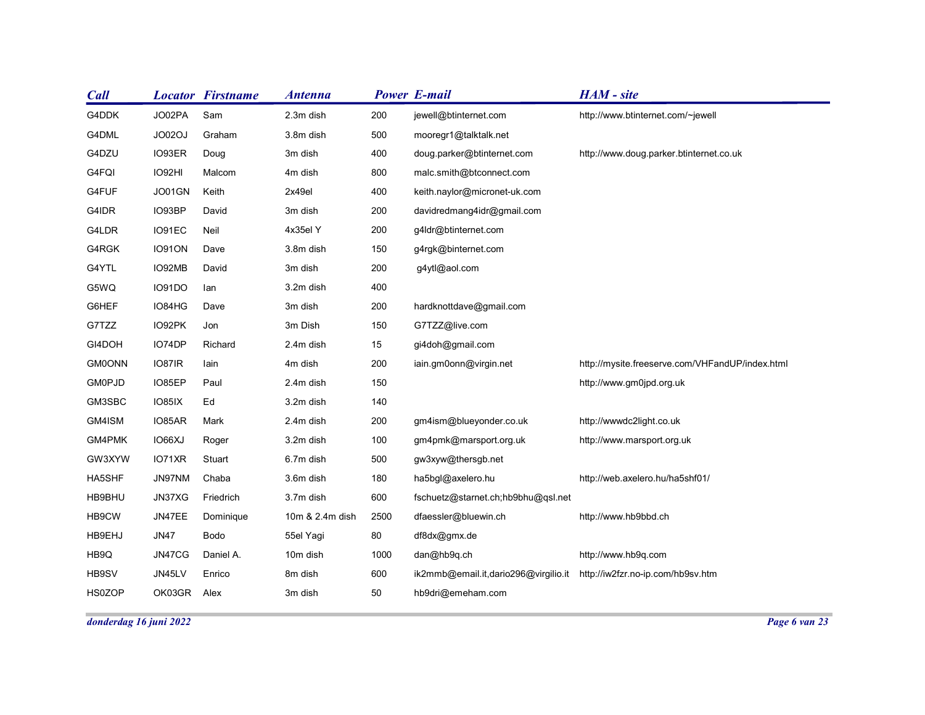| <b>Call</b>            |               | <b>Locator Firstname</b> | <b>Antenna</b>  |      | <b>Power E-mail</b>                  | HAM - site                                      |
|------------------------|---------------|--------------------------|-----------------|------|--------------------------------------|-------------------------------------------------|
| G4DDK                  | JO02PA        | Sam                      | 2.3m dish       | 200  | jewell@btinternet.com                | http://www.btinternet.com/~jewell               |
| G4DML                  | JO02OJ        | Graham                   | 3.8m dish       | 500  | mooregr1@talktalk.net                |                                                 |
| G4DZU                  | IO93ER        | Doug                     | 3m dish         | 400  | doug.parker@btinternet.com           | http://www.doug.parker.btinternet.co.uk         |
| G4FQI                  | IO92HI        | Malcom                   | 4m dish         | 800  | malc.smith@btconnect.com             |                                                 |
| G4FUF                  | JO01GN        | Keith                    | 2x49el          | 400  | keith.naylor@micronet-uk.com         |                                                 |
| G4IDR                  | IO93BP        | David                    | 3m dish         | 200  | davidredmang4idr@gmail.com           |                                                 |
| G4LDR                  | IO91EC        | Neil                     | 4x35el Y        | 200  | g4ldr@btinternet.com                 |                                                 |
| G4RGK                  | <b>IO91ON</b> | Dave                     | 3.8m dish       | 150  | g4rgk@binternet.com                  |                                                 |
| G4YTL                  | IO92MB        | David                    | 3m dish         | 200  | g4ytl@aol.com                        |                                                 |
| G5WQ                   | <b>IO91DO</b> | lan                      | 3.2m dish       | 400  |                                      |                                                 |
| G6HEF                  | IO84HG        | Dave                     | 3m dish         | 200  | hardknottdave@gmail.com              |                                                 |
| G7TZZ                  | IO92PK        | Jon                      | 3m Dish         | 150  | G7TZZ@live.com                       |                                                 |
| GI4DOH                 | IO74DP        | Richard                  | 2.4m dish       | 15   | gi4doh@gmail.com                     |                                                 |
| <b>GM0ONN</b>          | IO87IR        | lain                     | 4m dish         | 200  | iain.gm0onn@virgin.net               | http://mysite.freeserve.com/VHFandUP/index.html |
| <b>GM0PJD</b>          | IO85EP        | Paul                     | 2.4m dish       | 150  |                                      | http://www.gm0jpd.org.uk                        |
| GM3SBC                 | IO85IX        | Ed                       | 3.2m dish       | 140  |                                      |                                                 |
| GM4ISM                 | IO85AR        | Mark                     | 2.4m dish       | 200  | gm4ism@blueyonder.co.uk              | http://wwwdc2light.co.uk                        |
| GM4PMK                 | IO66XJ        | Roger                    | 3.2m dish       | 100  | gm4pmk@marsport.org.uk               | http://www.marsport.org.uk                      |
| GW3XYW                 | IO71XR        | Stuart                   | 6.7m dish       | 500  | gw3xyw@thersgb.net                   |                                                 |
| HA5SHF                 | JN97NM        | Chaba                    | 3.6m dish       | 180  | ha5bgl@axelero.hu                    | http://web.axelero.hu/ha5shf01/                 |
| HB9BHU                 | JN37XG        | Friedrich                | 3.7m dish       | 600  | fschuetz@starnet.ch;hb9bhu@qsl.net   |                                                 |
| HB9CW                  | JN47EE        | Dominique                | 10m & 2.4m dish | 2500 | dfaessler@bluewin.ch                 | http://www.hb9bbd.ch                            |
| HB9EHJ                 | <b>JN47</b>   | Bodo                     | 55el Yagi       | 80   | df8dx@gmx.de                         |                                                 |
| HB9Q                   | JN47CG        | Daniel A.                | 10m dish        | 1000 | dan@hb9q.ch                          | http://www.hb9q.com                             |
| HB9SV                  | JN45LV        | Enrico                   | 8m dish         | 600  | ik2mmb@email.it,dario296@virgilio.it | http://iw2fzr.no-ip.com/hb9sv.htm               |
| HS0ZOP                 | OK03GR        | Alex                     | 3m dish         | 50   | hb9dri@emeham.com                    |                                                 |
|                        |               |                          |                 |      |                                      | Page 6 van 23                                   |
| donderdag 16 juni 2022 |               |                          |                 |      |                                      |                                                 |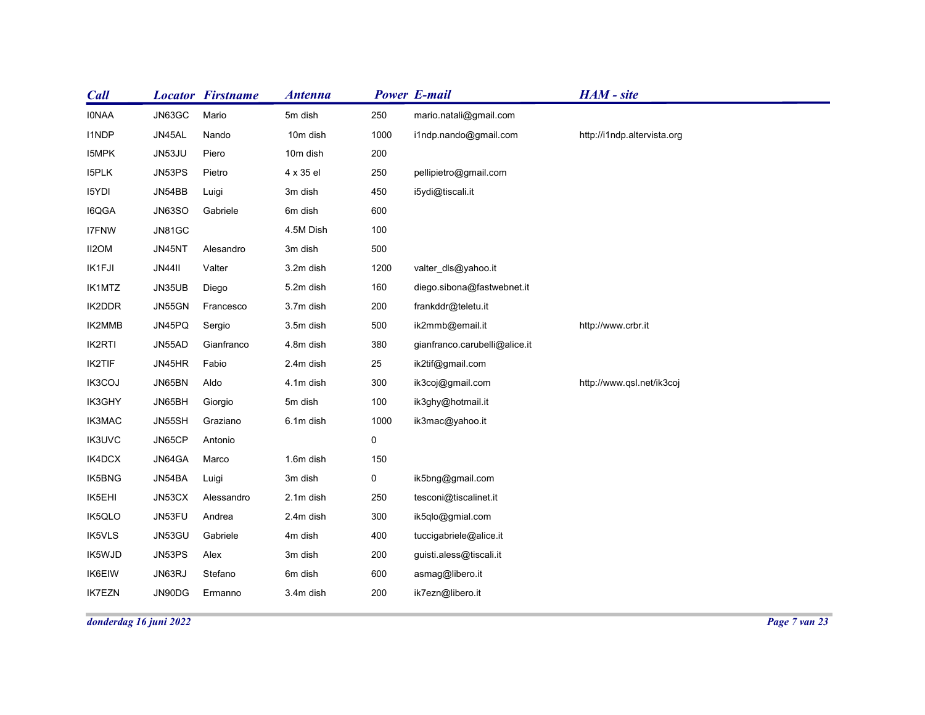| <b>Call</b>      | <b>Locator Firstname</b> |                      | <b>Antenna</b>         |                     | <b>Power E-mail</b>                              | HAM - site                  |  |
|------------------|--------------------------|----------------------|------------------------|---------------------|--------------------------------------------------|-----------------------------|--|
| <b>IONAA</b>     | JN63GC                   | Mario                | 5m dish                | 250                 | mario.natali@gmail.com                           |                             |  |
| <b>I1NDP</b>     | JN45AL                   | Nando                | 10m dish               | 1000                | i1ndp.nando@gmail.com                            | http://i1ndp.altervista.org |  |
| I5MPK            | JN53JU                   | Piero                | 10m dish               | 200                 |                                                  |                             |  |
| I5PLK            | JN53PS                   | Pietro               | 4 x 35 el              | 250                 | pellipietro@gmail.com                            |                             |  |
| 15YDI            | JN54BB                   | Luigi                | 3m dish                | 450                 | i5ydi@tiscali.it                                 |                             |  |
| I6QGA            | JN63SO                   | Gabriele             | 6m dish                | 600                 |                                                  |                             |  |
| <b>I7FNW</b>     | <b>JN81GC</b>            |                      | 4.5M Dish              | 100                 |                                                  |                             |  |
| II2OM            | JN45NT                   | Alesandro            | 3m dish                | 500                 |                                                  |                             |  |
| IK1FJI           | <b>JN44II</b>            | Valter               | 3.2m dish              | 1200                | valter_dls@yahoo.it                              |                             |  |
| IK1MTZ           | JN35UB                   | Diego                | 5.2m dish              | 160                 | diego.sibona@fastwebnet.it                       |                             |  |
| IK2DDR           | JN55GN                   | Francesco            | 3.7m dish              | 200                 | frankddr@teletu.it                               | http://www.crbr.it          |  |
| IK2MMB<br>IK2RTI | JN45PQ<br>JN55AD         | Sergio<br>Gianfranco | 3.5m dish<br>4.8m dish | 500<br>380          | ik2mmb@email.it<br>gianfranco.carubelli@alice.it |                             |  |
| IK2TIF           | JN45HR                   | Fabio                | 2.4m dish              | 25                  | ik2tif@gmail.com                                 |                             |  |
| IK3COJ           | JN65BN                   | Aldo                 | 4.1m dish              | 300                 | ik3coj@gmail.com                                 | http://www.qsl.net/ik3coj   |  |
| IK3GHY           | JN65BH                   | Giorgio              | 5m dish                | 100                 | ik3ghy@hotmail.it                                |                             |  |
| IK3MAC           | JN55SH                   | Graziano             | 6.1m dish              | 1000                | ik3mac@yahoo.it                                  |                             |  |
| <b>IK3UVC</b>    | JN65CP                   | Antonio              |                        | $\mathsf{O}\xspace$ |                                                  |                             |  |
| IK4DCX           | JN64GA                   | Marco                | 1.6m dish              | 150                 |                                                  |                             |  |
| IK5BNG           | JN54BA                   | Luigi                | 3m dish                | $\overline{0}$      | ik5bng@gmail.com                                 |                             |  |
| IK5EHI           | JN53CX                   | Alessandro           | 2.1m dish              | 250                 | tesconi@tiscalinet.it                            |                             |  |
| IK5QLO           | JN53FU                   | Andrea               | 2.4m dish              | 300                 | ik5qlo@gmial.com                                 |                             |  |
| IK5VLS           | JN53GU                   | Gabriele             | 4m dish                | 400                 | tuccigabriele@alice.it                           |                             |  |
| IK5WJD           | JN53PS                   | Alex                 | 3m dish                | 200                 | guisti.aless@tiscali.it                          |                             |  |
| IK6EIW           | JN63RJ                   | Stefano              | 6m dish                | 600                 | asmag@libero.it                                  |                             |  |
|                  | JN90DG                   | Ermanno              | 3.4m dish              | 200                 | ik7ezn@libero.it                                 |                             |  |
| <b>IK7EZN</b>    |                          |                      |                        |                     |                                                  |                             |  |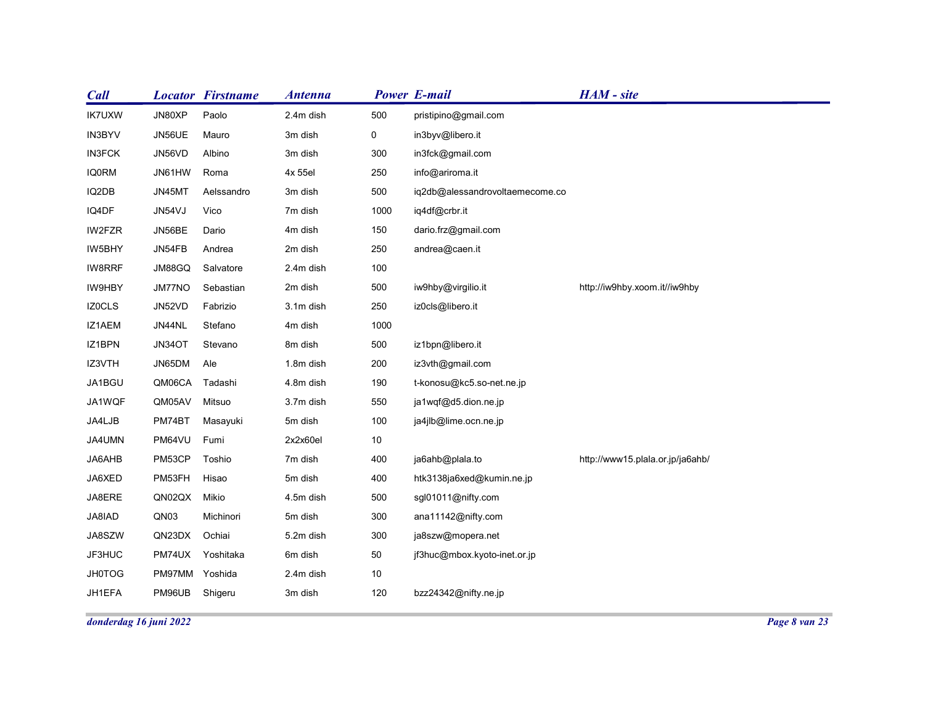| <b>Call</b>             |                        | <b>Locator Firstname</b> | <b>Antenna</b>       |             | <b>Power E-mail</b>             | HAM - site                       |
|-------------------------|------------------------|--------------------------|----------------------|-------------|---------------------------------|----------------------------------|
| <b>IK7UXW</b>           | JN80XP                 | Paolo                    | 2.4m dish            | 500         | pristipino@gmail.com            |                                  |
| IN3BYV                  | JN56UE                 | Mauro                    | 3m dish              | $\mathbf 0$ | in3byv@libero.it                |                                  |
| <b>IN3FCK</b>           | JN56VD                 | Albino                   | 3m dish              | 300         | in3fck@gmail.com                |                                  |
| <b>IQ0RM</b>            | JN61HW                 | Roma                     | 4x 55el              | 250         | info@ariroma.it                 |                                  |
| IQ2DB                   | JN45MT                 | Aelssandro               | 3m dish              | 500         | iq2db@alessandrovoltaemecome.co |                                  |
| IQ4DF                   | JN54VJ                 | Vico                     | 7m dish              | 1000        | iq4df@crbr.it                   |                                  |
| IW2FZR                  | JN56BE                 | Dario                    | 4m dish              | 150         | dario.frz@gmail.com             |                                  |
| IW5BHY                  | JN54FB                 | Andrea                   | 2m dish              | 250         | andrea@caen.it                  |                                  |
| IW8RRF                  | JM88GQ                 | Salvatore                | 2.4m dish            | 100         |                                 |                                  |
| IW9HBY                  | JM77NO                 | Sebastian                | 2m dish              | 500         | iw9hby@virgilio.it              | http://iw9hby.xoom.it//iw9hby    |
| <b>IZOCLS</b><br>IZ1AEM | JN52VD<br>JN44NL       | Fabrizio<br>Stefano      | 3.1m dish<br>4m dish | 250<br>1000 | iz0cls@libero.it                |                                  |
| IZ1BPN                  | JN34OT                 | Stevano                  | 8m dish              | 500         | iz1bpn@libero.it                |                                  |
| IZ3VTH                  | JN65DM Ale             |                          | 1.8m dish            | 200         | iz3vth@gmail.com                |                                  |
| JA1BGU                  | QM06CA Tadashi         |                          | 4.8m dish            | 190         | t-konosu@kc5.so-net.ne.jp       |                                  |
| JA1WQF                  | QM05AV                 | Mitsuo                   | 3.7m dish            | 550         | ja1wqf@d5.dion.ne.jp            |                                  |
| JA4LJB                  | PM74BT                 | Masayuki                 | 5m dish              | 100         | ja4jlb@lime.ocn.ne.jp           |                                  |
| JA4UMN                  | PM64VU Fumi            |                          | 2x2x60el             | 10          |                                 |                                  |
| JA6AHB                  | PM53CP                 | Toshio                   | 7m dish              | 400         | ja6ahb@plala.to                 | http://www15.plala.or.jp/ja6ahb/ |
| JA6XED                  | PM53FH                 | Hisao                    | 5m dish              | 400         | htk3138ja6xed@kumin.ne.jp       |                                  |
| JA8ERE                  | QN02QX                 | Mikio                    | 4.5m dish            | 500         | sgl01011@nifty.com              |                                  |
| JA8IAD                  | QN03                   | Michinori                | 5m dish              | 300         | ana11142@nifty.com              |                                  |
| JA8SZW                  | QN23DX                 | Ochiai                   | 5.2m dish            | 300         | ja8szw@mopera.net               |                                  |
| JF3HUC                  | PM74UX                 | Yoshitaka                | 6m dish              | 50          | jf3huc@mbox.kyoto-inet.or.jp    |                                  |
| <b>JH0TOG</b>           | PM97MM Yoshida         |                          | 2.4m dish            | 10          |                                 |                                  |
| JH1EFA                  | PM96UB Shigeru         |                          | 3m dish              | 120         | bzz24342@nifty.ne.jp            |                                  |
|                         | donderdag 16 juni 2022 |                          |                      |             |                                 |                                  |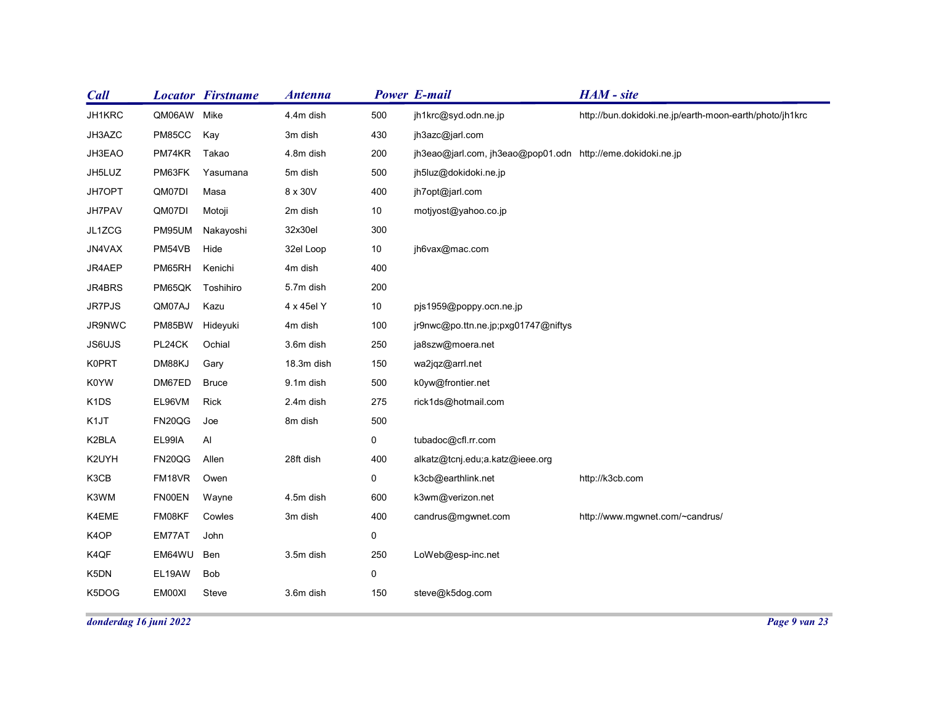| <b>Call</b>   |                           | <b>Locator Firstname</b> | <b>Antenna</b> |                    | <b>Power E-mail</b>                                         | HAM - site                                              |
|---------------|---------------------------|--------------------------|----------------|--------------------|-------------------------------------------------------------|---------------------------------------------------------|
| JH1KRC        | QM06AW Mike               |                          | 4.4m dish      | 500                | jh1krc@syd.odn.ne.jp                                        | http://bun.dokidoki.ne.jp/earth-moon-earth/photo/jh1krc |
| JH3AZC        | PM85CC                    | Kay                      | 3m dish        | 430                | jh3azc@jarl.com                                             |                                                         |
| JH3EAO        | PM74KR                    | Takao                    | 4.8m dish      | 200                | jh3eao@jarl.com, jh3eao@pop01.odn http://eme.dokidoki.ne.jp |                                                         |
| JH5LUZ        | PM63FK                    | Yasumana                 | 5m dish        | 500                | jh5luz@dokidoki.ne.jp                                       |                                                         |
| JH7OPT        | QM07DI                    | Masa                     | 8 x 30V        | 400                | jh7opt@jarl.com                                             |                                                         |
| JH7PAV        | QM07DI                    | Motoji                   | 2m dish        | 10                 | motjyost@yahoo.co.jp                                        |                                                         |
| JL1ZCG        | PM95UM                    | Nakayoshi                | 32x30el        | 300                |                                                             |                                                         |
| JN4VAX        | PM54VB                    | Hide                     | 32el Loop      | 10                 | jh6vax@mac.com                                              |                                                         |
| JR4AEP        | PM65RH                    | Kenichi                  | 4m dish        | 400                |                                                             |                                                         |
| JR4BRS        | PM65QK                    | Toshihiro                | 5.7m dish      | 200                |                                                             |                                                         |
| JR7PJS        | QM07AJ                    | Kazu                     | 4 x 45el Y     | 10                 | pjs1959@poppy.ocn.ne.jp                                     |                                                         |
| JR9NWC        | PM85BW Hideyuki           |                          | 4m dish        | 100                | jr9nwc@po.ttn.ne.jp;pxg01747@niftys                         |                                                         |
| JS6UJS        | PL24CK                    | Ochial                   | 3.6m dish      | 250                | ja8szw@moera.net                                            |                                                         |
| <b>K0PRT</b>  | DM88KJ                    | Gary                     | 18.3m dish     | 150                | wa2jqz@arrl.net                                             |                                                         |
| K0YW          | DM67ED                    | <b>Bruce</b>             | 9.1m dish      | 500                | k0yw@frontier.net                                           |                                                         |
| K1DS          | EL96VM                    | Rick                     | 2.4m dish      | 275                | rick1ds@hotmail.com                                         |                                                         |
| K1JT          | FN20QG Joe                |                          | 8m dish        | 500                |                                                             |                                                         |
| K2BLA         | EL99IA                    | Al                       |                | $\mathbf 0$        | tubadoc@cfl.rr.com                                          |                                                         |
| K2UYH         | FN20QG                    | Allen                    | 28ft dish      | 400                | alkatz@tcnj.edu;a.katz@ieee.org                             |                                                         |
| K3CB          | FM18VR                    | Owen                     |                | $\overline{0}$     | k3cb@earthlink.net                                          | http://k3cb.com                                         |
| K3WM          | <b>FN00EN</b>             | Wayne                    | 4.5m dish      | 600                | k3wm@verizon.net                                            |                                                         |
| K4EME<br>K4OP | FM08KF                    | Cowles                   | 3m dish        | 400<br>$\mathbf 0$ | candrus@mgwnet.com                                          | http://www.mgwnet.com/~candrus/                         |
| K4QF          | EM77AT John<br>EM64WU Ben |                          | 3.5m dish      | 250                | LoWeb@esp-inc.net                                           |                                                         |
| K5DN          | EL19AW                    | Bob                      |                | $\mathbf 0$        |                                                             |                                                         |
| K5DOG         | EM00XI                    | Steve                    | 3.6m dish      | 150                | steve@k5dog.com                                             |                                                         |
|               |                           |                          |                |                    |                                                             |                                                         |
|               | donderdag 16 juni 2022    |                          |                |                    |                                                             |                                                         |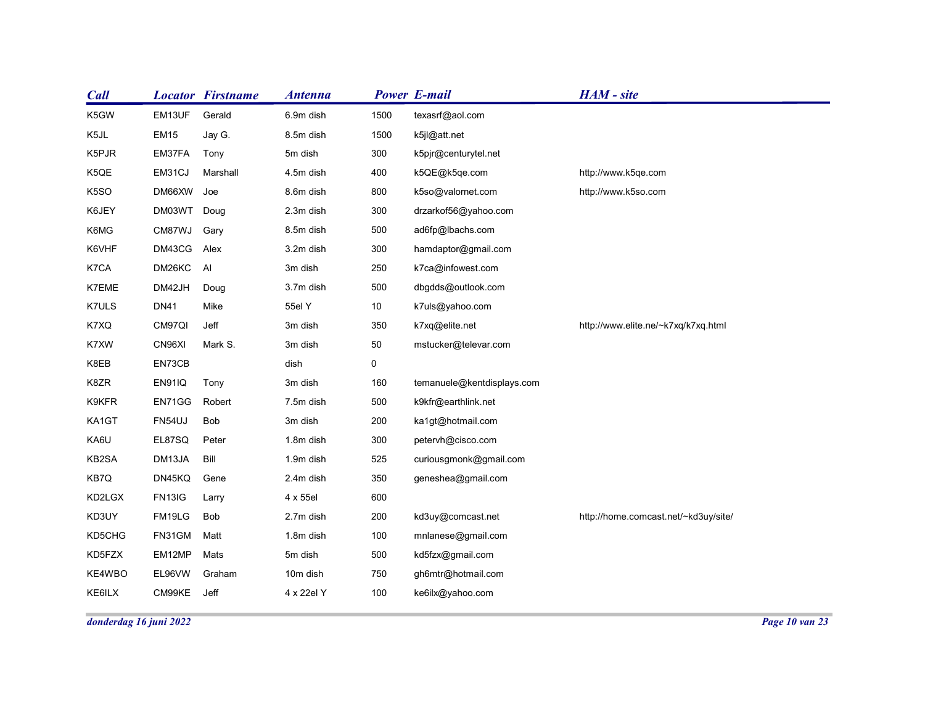| <b>Call</b>      |                       | <b>Locator Firstname</b> | <b>Antenna</b> |                | <b>Power E-mail</b>        | HAM - site                           |
|------------------|-----------------------|--------------------------|----------------|----------------|----------------------------|--------------------------------------|
| K5GW             | EM13UF                | Gerald                   | 6.9m dish      | 1500           | texasrf@aol.com            |                                      |
| K5JL             | <b>EM15</b>           | Jay G.                   | 8.5m dish      | 1500           | k5jl@att.net               |                                      |
| K5PJR            | EM37FA                | Tony                     | 5m dish        | 300            | k5pjr@centurytel.net       |                                      |
| K5QE             | EM31CJ                | Marshall                 | 4.5m dish      | 400            | k5QE@k5qe.com              | http://www.k5qe.com                  |
| K5SO             | DM66XW Joe            |                          | 8.6m dish      | 800            | k5so@valornet.com          | http://www.k5so.com                  |
| K6JEY            | DM03WT                | Doug                     | 2.3m dish      | 300            | drzarkof56@yahoo.com       |                                      |
| K6MG             | CM87WJ                | Gary                     | 8.5m dish      | 500            | ad6fp@lbachs.com           |                                      |
| K6VHF            | DM43CG                | Alex                     | 3.2m dish      | 300            | hamdaptor@gmail.com        |                                      |
| K7CA             | DM26KC                | Al                       | 3m dish        | 250            | k7ca@infowest.com          |                                      |
| K7EME            | DM42JH                | Doug                     | 3.7m dish      | 500            | dbgdds@outlook.com         |                                      |
| K7ULS            | <b>DN41</b>           | Mike                     | 55el Y         | $10\,$         | k7uls@yahoo.com            |                                      |
| K7XQ             | CM97QI                | Jeff                     | 3m dish        | 350            | k7xq@elite.net             | http://www.elite.ne/~k7xq/k7xq.html  |
| K7XW             | CN96XI                | Mark S.                  | 3m dish        | $50\,$         | mstucker@televar.com       |                                      |
| K8EB             | EN73CB                |                          | dish           | $\overline{0}$ |                            |                                      |
| K8ZR             | <b>EN91IQ</b>         | Tony                     | 3m dish        | 160            | temanuele@kentdisplays.com |                                      |
| K9KFR            | EN71GG                | Robert                   | 7.5m dish      | 500            | k9kfr@earthlink.net        |                                      |
| KA1GT            | FN54UJ                | Bob                      | 3m dish        | 200            | ka1gt@hotmail.com          |                                      |
| KA6U             | EL87SQ                | Peter                    | 1.8m dish      | 300            | petervh@cisco.com          |                                      |
| KB2SA            | DM13JA                | Bill                     | 1.9m dish      | 525            | curiousgmonk@gmail.com     |                                      |
| KB7Q             | DN45KQ                | Gene                     | 2.4m dish      | 350            | geneshea@gmail.com         |                                      |
| KD2LGX           | <b>FN13IG</b>         | Larry                    | 4 x 55el       | 600            |                            |                                      |
| KD3UY            | FM19LG                | <b>Bob</b>               | 2.7m dish      | 200            | kd3uy@comcast.net          | http://home.comcast.net/~kd3uy/site/ |
| KD5CHG<br>KD5FZX | FN31GM Matt           |                          | 1.8m dish      | 100            | mnlanese@gmail.com         |                                      |
|                  | EM12MP                | Mats                     | 5m dish        | 500            | kd5fzx@gmail.com           |                                      |
|                  |                       | Graham                   | 10m dish       | 750            | gh6mtr@hotmail.com         |                                      |
| KE4WBO<br>KE6ILX | EL96VW<br>CM99KE Jeff |                          | 4 x 22el Y     | 100            | ke6ilx@yahoo.com           |                                      |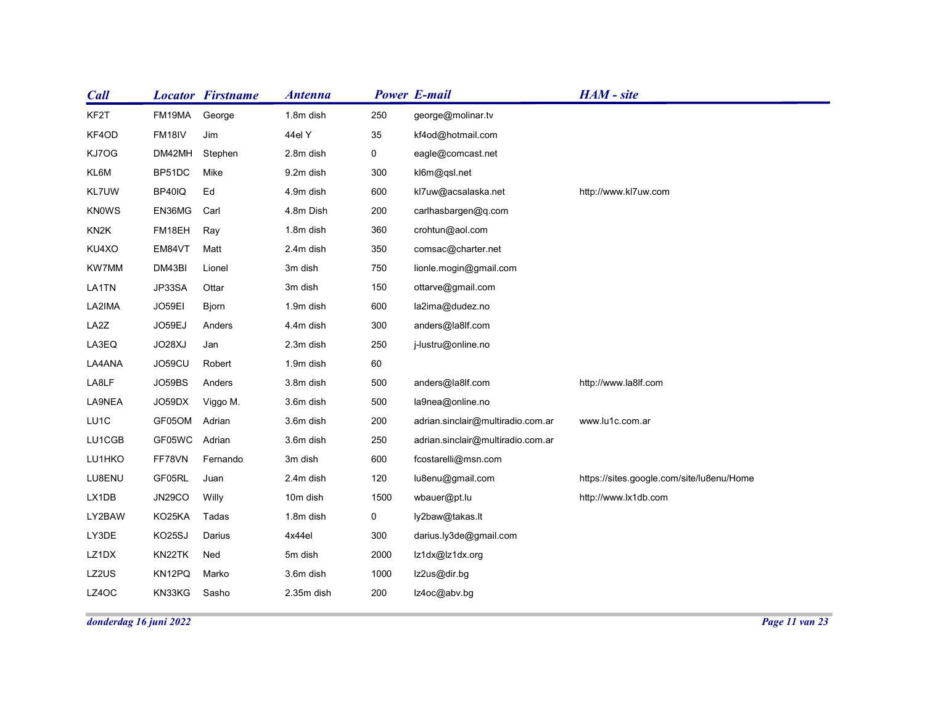| <b>Call</b>       | <b>Locator Firstname</b> |          | <b>Antenna</b>         |             | <b>Power E-mail</b>                    | HAM - site                                |
|-------------------|--------------------------|----------|------------------------|-------------|----------------------------------------|-------------------------------------------|
| KF2T              | FM19MA                   | George   | 1.8m dish              | 250         | george@molinar.tv                      |                                           |
| KF4OD             | FM18IV<br>Jim            |          | 44el Y                 | 35          | kf4od@hotmail.com                      |                                           |
| KJ7OG             | DM42MH                   | Stephen  | 2.8m dish              | $\mathbf 0$ | eagle@comcast.net                      |                                           |
| KL6M              | BP51DC<br>Mike           |          | 9.2m dish              | 300         | kl6m@qsl.net                           |                                           |
| KL7UW             | BP40IQ<br>Ed             |          | 4.9m dish              | 600         | kl7uw@acsalaska.net                    | http://www.kl7uw.com                      |
| <b>KNOWS</b>      | EN36MG<br>Carl           |          | 4.8m Dish              | 200         | carlhasbargen@q.com                    |                                           |
| KN <sub>2</sub> K | FM18EH<br>Ray            |          | 1.8m dish              | 360         | crohtun@aol.com                        |                                           |
| KU4XO             | EM84VT<br>Matt           |          | 2.4m dish              | 350         | comsac@charter.net                     |                                           |
| KW7MM             | DM43BI<br>Lionel         |          | 3m dish                | 750         | lionle.mogin@gmail.com                 |                                           |
| LA1TN             | JP33SA<br>Ottar          |          | 3m dish                | 150         | ottarve@gmail.com                      |                                           |
| LA2IMA            | JO59EI<br>Bjorn          |          | 1.9m dish              | 600         | la2ima@dudez.no                        |                                           |
| LA2Z<br>LA3EQ     | JO59EJ<br>JO28XJ<br>Jan  | Anders   | 4.4m dish<br>2.3m dish | 300<br>250  | anders@la8lf.com<br>j-lustru@online.no |                                           |
| LA4ANA            | JO59CU                   | Robert   | 1.9m dish              | 60          |                                        |                                           |
| LA8LF             | JO59BS                   | Anders   | 3.8m dish              | 500         | anders@la8lf.com                       | http://www.la8lf.com                      |
| LA9NEA            | JO59DX                   | Viggo M. | 3.6m dish              | 500         | la9nea@online.no                       |                                           |
| LU1C              | GF05OM Adrian            |          | 3.6m dish              | 200         | adrian.sinclair@multiradio.com.ar      | www.lu1c.com.ar                           |
| LU1CGB            | GF05WC<br>Adrian         |          | 3.6m dish              | 250         | adrian.sinclair@multiradio.com.ar      |                                           |
| LU1HKO            | FF78VN                   | Fernando | 3m dish                | 600         | fcostarelli@msn.com                    |                                           |
| LU8ENU            | GF05RL<br>Juan           |          | 2.4m dish              | 120         | lu8enu@gmail.com                       | https://sites.google.com/site/lu8enu/Home |
| LX1DB             | Willy<br><b>JN29CO</b>   |          | 10m dish               | 1500        | wbauer@pt.lu                           | http://www.lx1db.com                      |
| LY2BAW            | KO25KA<br>Tadas          |          | 1.8m dish              | $\mathbf 0$ | ly2baw@takas.lt                        |                                           |
| LY3DE             | KO25SJ<br>Darius         |          | 4x44el                 | 300         | darius.ly3de@gmail.com                 |                                           |
| LZ1DX             | KN22TK<br>Ned            |          | 5m dish                | 2000        | lz1dx@lz1dx.org                        |                                           |
| LZ2US             | KN12PQ<br>Marko          |          | 3.6m dish              | 1000        | Iz2us@dir.bg                           |                                           |
|                   |                          | Sasho    | 2.35m dish             | 200         |                                        |                                           |
| LZ4OC             | KN33KG                   |          |                        |             | lz4oc@abv.bg                           |                                           |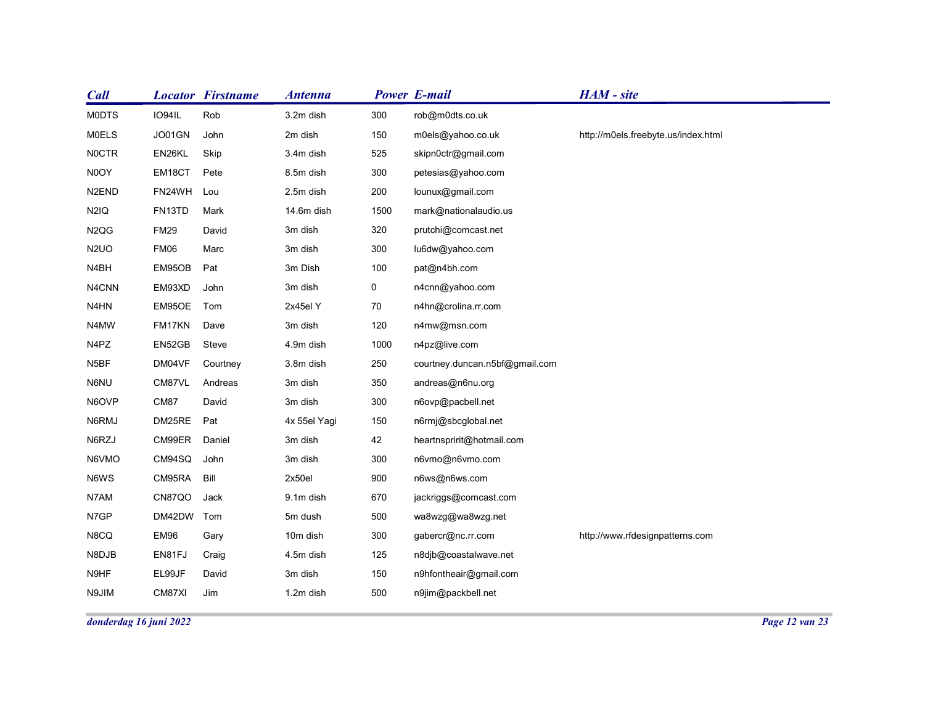| <b>Call</b>                    |                  | <b>Locator Firstname</b> | <b>Antenna</b>       |             | <b>Power E-mail</b>            | HAM - site                          |  |
|--------------------------------|------------------|--------------------------|----------------------|-------------|--------------------------------|-------------------------------------|--|
| <b>MODTS</b>                   | IO94IL           | Rob                      | 3.2m dish            | 300         | rob@m0dts.co.uk                |                                     |  |
| <b>MOELS</b>                   | JO01GN           | John                     | 2m dish              | 150         | m0els@yahoo.co.uk              | http://m0els.freebyte.us/index.html |  |
| <b>NOCTR</b>                   | EN26KL           | Skip                     | 3.4m dish            | 525         | skipn0ctr@gmail.com            |                                     |  |
| N0OY                           | EM18CT           | Pete                     | 8.5m dish            | 300         | petesias@yahoo.com             |                                     |  |
| N <sub>2</sub> EN <sub>D</sub> | FN24WH           | Lou                      | 2.5m dish            | 200         | lounux@gmail.com               |                                     |  |
| N <sub>2</sub> IQ              | FN13TD           | Mark                     | 14.6m dish           | 1500        | mark@nationalaudio.us          |                                     |  |
| N <sub>2QG</sub>               | <b>FM29</b>      | David                    | 3m dish              | 320         | prutchi@comcast.net            |                                     |  |
| N <sub>2</sub> UO              | FM06             | Marc                     | 3m dish              | 300         | lu6dw@yahoo.com                |                                     |  |
| N4BH                           | EM95OB           | Pat                      | 3m Dish              | 100         | pat@n4bh.com                   |                                     |  |
| N4CNN                          | EM93XD           | John                     | 3m dish              | $\mathbf 0$ | n4cnn@yahoo.com                |                                     |  |
| N4HN                           | EM95OE           | Tom                      | 2x45el Y             | 70          | n4hn@crolina.rr.com            |                                     |  |
| N4MW                           | FM17KN           | Dave                     | 3m dish              | 120         | n4mw@msn.com                   |                                     |  |
| N4PZ                           | EN52GB           | Steve                    | 4.9m dish            | 1000        | n4pz@live.com                  |                                     |  |
| N5BF                           | DM04VF           | Courtney                 | 3.8m dish            | 250         | courtney.duncan.n5bf@gmail.com |                                     |  |
| N6NU                           | CM87VL           | Andreas                  | 3m dish              | 350         | andreas@n6nu.org               |                                     |  |
| N6OVP                          | CM87             | David                    | 3m dish              | 300         | n6ovp@pacbell.net              |                                     |  |
| N6RMJ                          | DM25RE           | Pat                      | 4x 55el Yagi         | 150         | n6rmj@sbcglobal.net            |                                     |  |
| N6RZJ                          | CM99ER           | Daniel                   | 3m dish              | 42          | heartnspririt@hotmail.com      |                                     |  |
| N6VMO                          | CM94SQ           | John                     | 3m dish              | 300         | n6vmo@n6vmo.com                |                                     |  |
| N6WS                           | CM95RA Bill      |                          | 2x50el               | 900         | n6ws@n6ws.com                  |                                     |  |
| N7AM                           | CN87QO           | Jack                     | 9.1m dish            | 670         | jackriggs@comcast.com          |                                     |  |
| N7GP                           | DM42DW Tom       |                          | 5m dush              | 500         | wa8wzg@wa8wzg.net              |                                     |  |
| N8CQ                           | EM96             | Gary                     | 10m dish             | 300         | gabercr@nc.rr.com              | http://www.rfdesignpatterns.com     |  |
|                                | EN81FJ           | Craig<br>David           | 4.5m dish<br>3m dish | 125         | n8djb@coastalwave.net          |                                     |  |
| N8DJB                          |                  |                          |                      | 150         | n9hfontheair@gmail.com         |                                     |  |
| N9HF<br>N9JIM                  | EL99JF<br>CM87XI | Jim                      | 1.2m dish            | 500         | n9jim@packbell.net             |                                     |  |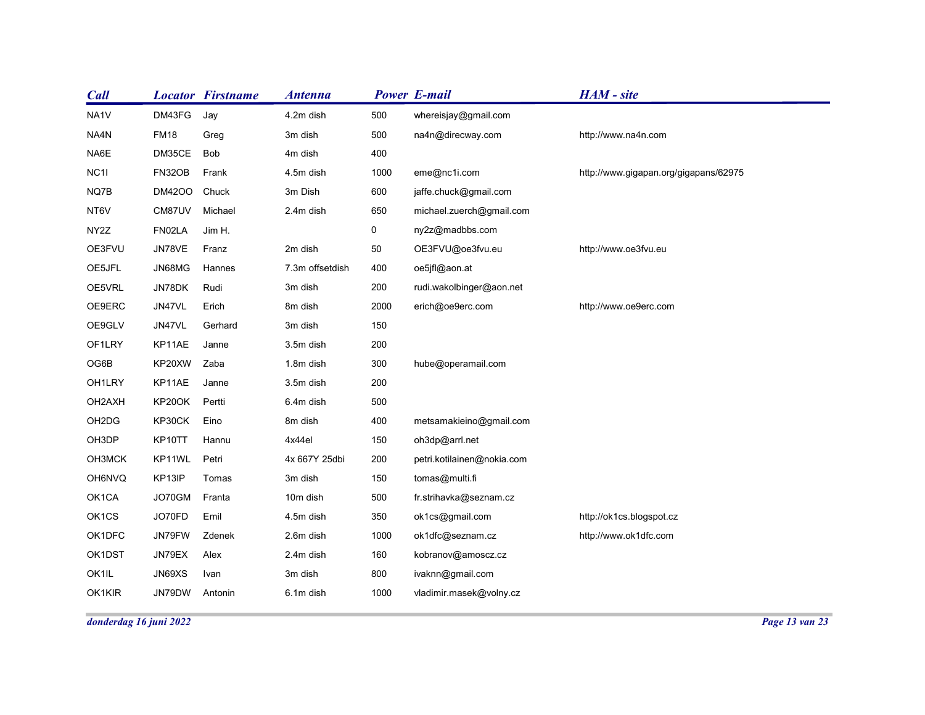| <b>Call</b>            |                  | <b>Locator Firstname</b> | <b>Antenna</b>      |             | <b>Power E-mail</b>                      | HAM - site                            |  |
|------------------------|------------------|--------------------------|---------------------|-------------|------------------------------------------|---------------------------------------|--|
| NA1V                   | DM43FG           | Jay                      | 4.2m dish           | 500         | whereisjay@gmail.com                     |                                       |  |
| NA4N                   | <b>FM18</b>      | Greg                     | 3m dish             | 500         | na4n@direcway.com                        | http://www.na4n.com                   |  |
| NA6E                   | DM35CE           | Bob                      | 4m dish             | 400         |                                          |                                       |  |
| NC <sub>11</sub>       | FN32OB           | Frank                    | 4.5m dish           | 1000        | eme@nc1i.com                             | http://www.gigapan.org/gigapans/62975 |  |
| NQ7B                   | <b>DM42OO</b>    | Chuck                    | 3m Dish             | 600         | jaffe.chuck@gmail.com                    |                                       |  |
| NT6V                   | CM87UV           | Michael                  | 2.4m dish           | 650         | michael.zuerch@gmail.com                 |                                       |  |
| NY2Z                   | FN02LA           | Jim H.                   |                     | $\mathbf 0$ | ny2z@madbbs.com                          |                                       |  |
| OE3FVU                 | JN78VE           | Franz                    | 2m dish             | 50          | OE3FVU@oe3fvu.eu                         | http://www.oe3fvu.eu                  |  |
| OE5JFL                 | JN68MG           | Hannes                   | 7.3m offsetdish     | 400         | oe5jfl@aon.at                            |                                       |  |
| OE5VRL                 | JN78DK           | Rudi                     | 3m dish             | 200         | rudi.wakolbinger@aon.net                 |                                       |  |
| OE9ERC                 | JN47VL           | Erich                    | 8m dish             | 2000        | erich@oe9erc.com                         | http://www.oe9erc.com                 |  |
| OE9GLV                 | JN47VL           | Gerhard                  | 3m dish             | 150         |                                          |                                       |  |
| OF1LRY                 | KP11AE           | Janne                    | 3.5m dish           | 200         |                                          |                                       |  |
| OG6B                   | KP20XW           | Zaba                     | 1.8m dish           | 300         | hube@operamail.com                       |                                       |  |
| OH1LRY                 | KP11AE           | Janne                    | 3.5m dish           | 200         |                                          |                                       |  |
| OH2AXH                 | KP20OK           | Pertti                   | 6.4m dish           | 500         |                                          |                                       |  |
| OH2DG                  | KP30CK           | Eino                     | 8m dish             | 400         | metsamakieino@gmail.com                  |                                       |  |
| OH3DP                  | KP10TT           | Hannu                    | 4x44el              | 150         | oh3dp@arrl.net                           |                                       |  |
| OH3MCK                 | KP11WL           | Petri                    | 4x 667Y 25dbi       | 200         | petri.kotilainen@nokia.com               |                                       |  |
| OH6NVQ<br>OK1CA        | KP13IP<br>JO70GM | Tomas<br>Franta          | 3m dish<br>10m dish | 150<br>500  | tomas@multi.fi<br>fr.strihavka@seznam.cz |                                       |  |
| OK1CS                  | JO70FD           | Emil                     | 4.5m dish           | 350         | ok1cs@gmail.com                          | http://ok1cs.blogspot.cz              |  |
|                        |                  |                          | 2.6m dish           | 1000        |                                          | http://www.ok1dfc.com                 |  |
| OK1DFC<br>OK1DST       | JN79FW<br>JN79EX | Zdenek<br>Alex           | 2.4m dish           | 160         | ok1dfc@seznam.cz<br>kobranov@amoscz.cz   |                                       |  |
| OK1IL                  | JN69XS           | Ivan                     | 3m dish             | 800         | ivaknn@gmail.com                         |                                       |  |
|                        |                  |                          |                     | 1000        | vladimir.masek@volny.cz                  |                                       |  |
| OK1KIR                 | JN79DW           | Antonin                  | 6.1m dish           |             |                                          |                                       |  |
| donderdag 16 juni 2022 |                  |                          |                     |             |                                          |                                       |  |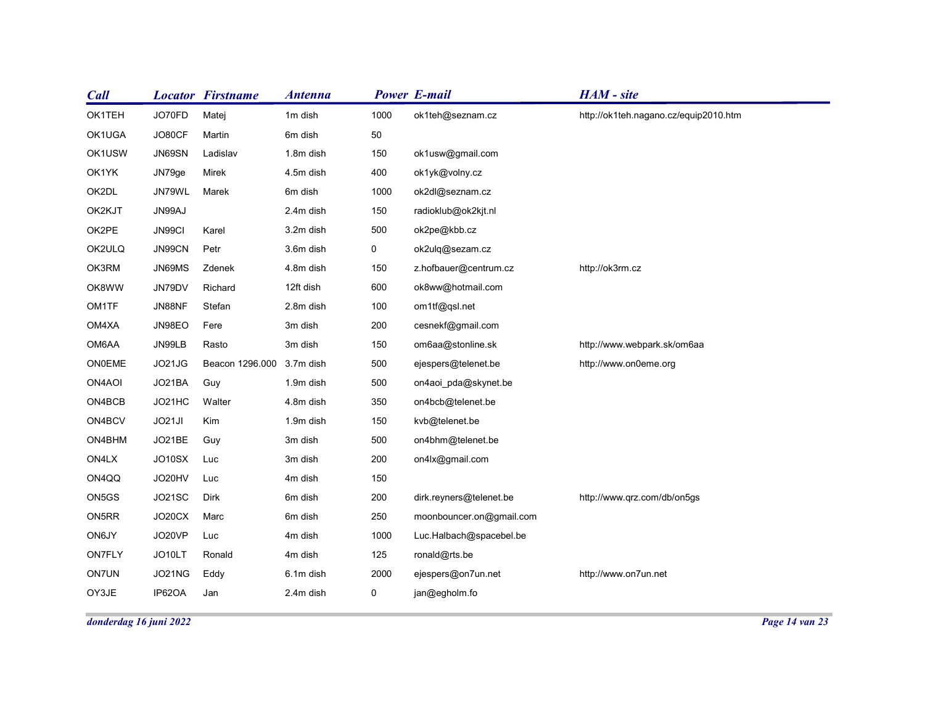| <b>Call</b>            |            | <b>Locator Firstname</b>  | <b>Antenna</b> |             | <b>Power E-mail</b>      | HAM - site                            |                |
|------------------------|------------|---------------------------|----------------|-------------|--------------------------|---------------------------------------|----------------|
| OK1TEH                 | JO70FD     | Matej                     | 1m dish        | 1000        | ok1teh@seznam.cz         | http://ok1teh.nagano.cz/equip2010.htm |                |
| OK1UGA                 | JO80CF     | Martin                    | 6m dish        | 50          |                          |                                       |                |
| OK1USW                 | JN69SN     | Ladislav                  | 1.8m dish      | 150         | ok1usw@gmail.com         |                                       |                |
| OK1YK                  | JN79ge     | Mirek                     | 4.5m dish      | 400         | ok1yk@volny.cz           |                                       |                |
| OK2DL                  | JN79WL     | Marek                     | 6m dish        | 1000        | ok2dl@seznam.cz          |                                       |                |
| OK2KJT                 | JN99AJ     |                           | 2.4m dish      | 150         | radioklub@ok2kjt.nl      |                                       |                |
| OK2PE                  | JN99CI     | Karel                     | 3.2m dish      | 500         | ok2pe@kbb.cz             |                                       |                |
| OK2ULQ                 | JN99CN     | Petr                      | 3.6m dish      | 0           | ok2ulq@sezam.cz          |                                       |                |
| OK3RM                  | JN69MS     | Zdenek                    | 4.8m dish      | 150         | z.hofbauer@centrum.cz    | http://ok3rm.cz                       |                |
| OK8WW                  | JN79DV     | Richard                   | 12ft dish      | 600         | ok8ww@hotmail.com        |                                       |                |
| OM1TF                  | JN88NF     | Stefan                    | 2.8m dish      | 100         | om1tf@qsl.net            |                                       |                |
| OM4XA                  | JN98EO     | Fere                      | 3m dish        | 200         | cesnekf@gmail.com        |                                       |                |
| OM6AA                  | JN99LB     | Rasto                     | 3m dish        | 150         | om6aa@stonline.sk        | http://www.webpark.sk/om6aa           |                |
| ON0EME                 | JO21JG     | Beacon 1296.000 3.7m dish |                | 500         | ejespers@telenet.be      | http://www.on0eme.org                 |                |
| ON4AOI                 | JO21BA     | Guy                       | 1.9m dish      | 500         | on4aoi_pda@skynet.be     |                                       |                |
| ON4BCB                 | JO21HC     | Walter                    | 4.8m dish      | 350         | on4bcb@telenet.be        |                                       |                |
| ON4BCV                 | JO21JI     | Kim                       | 1.9m dish      | 150         | kvb@telenet.be           |                                       |                |
| ON4BHM                 | JO21BE     | Guy                       | 3m dish        | 500         | on4bhm@telenet.be        |                                       |                |
| ON4LX                  | JO10SX Luc |                           | 3m dish        | 200         | on4lx@gmail.com          |                                       |                |
| ON4QQ                  | JO20HV     | Luc                       | 4m dish        | 150         |                          |                                       |                |
| ON5GS                  | JO21SC     | Dirk                      | 6m dish        | 200         | dirk.reyners@telenet.be  | http://www.qrz.com/db/on5gs           |                |
| ON5RR                  | JO20CX     | Marc                      | 6m dish        | 250         | moonbouncer.on@gmail.com |                                       |                |
| ON6JY                  | JO20VP     | Luc                       | 4m dish        | 1000        | Luc.Halbach@spacebel.be  |                                       |                |
| ON7FLY                 | JO10LT     | Ronald                    | 4m dish        | 125         | ronald@rts.be            |                                       |                |
| <b>ON7UN</b>           | JO21NG     | Eddy                      | 6.1m dish      | 2000        | ejespers@on7un.net       | http://www.on7un.net                  |                |
| OY3JE                  | IP62OA     | Jan                       | 2.4m dish      | $\mathbf 0$ | jan@egholm.fo            |                                       |                |
|                        |            |                           |                |             |                          |                                       | Page 14 van 23 |
| donderdag 16 juni 2022 |            |                           |                |             |                          |                                       |                |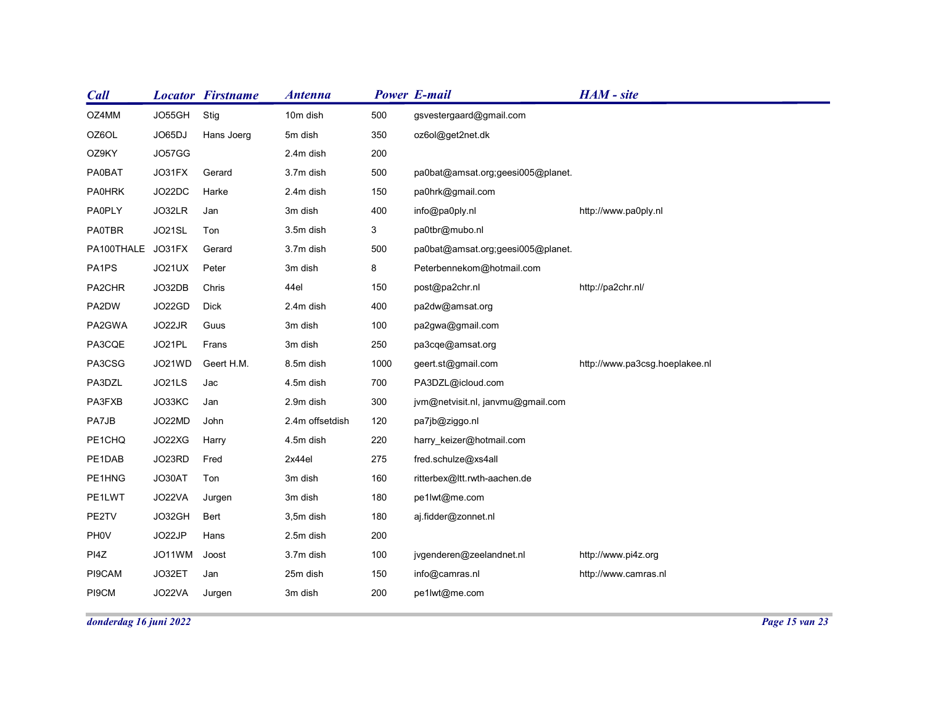| <b>Call</b>       |                  | <b>Locator Firstname</b> | <b>Antenna</b>     |              | <b>Power E-mail</b>                           | HAM - site                     |  |
|-------------------|------------------|--------------------------|--------------------|--------------|-----------------------------------------------|--------------------------------|--|
| OZ4MM             | JO55GH           | Stig                     | 10m dish           | 500          | gsvestergaard@gmail.com                       |                                |  |
| OZ6OL             | JO65DJ           | Hans Joerg               | 5m dish            | 350          | oz6ol@get2net.dk                              |                                |  |
| OZ9KY             | JO57GG           |                          | 2.4m dish          | 200          |                                               |                                |  |
| PA0BAT            | JO31FX           | Gerard                   | 3.7m dish          | 500          | pa0bat@amsat.org;geesi005@planet.             |                                |  |
| <b>PA0HRK</b>     | JO22DC           | Harke                    | 2.4m dish          | 150          | pa0hrk@gmail.com                              |                                |  |
| <b>PA0PLY</b>     | JO32LR           | Jan                      | 3m dish            | 400          | info@pa0ply.nl                                | http://www.pa0ply.nl           |  |
| PA0TBR            | JO21SL           | Ton                      | 3.5m dish          | $\mathbf{3}$ | pa0tbr@mubo.nl                                |                                |  |
| PA100THALE JO31FX |                  | Gerard                   | 3.7m dish          | 500          | pa0bat@amsat.org;geesi005@planet.             |                                |  |
| PA1PS             | JO21UX           | Peter                    | 3m dish            | 8            | Peterbennekom@hotmail.com                     |                                |  |
| PA2CHR            | JO32DB           | Chris                    | 44el               | 150          | post@pa2chr.nl                                | http://pa2chr.nl/              |  |
| PA2DW             | JO22GD           | Dick                     | 2.4m dish          | 400          | pa2dw@amsat.org                               |                                |  |
| PA2GWA            | JO22JR           | Guus                     | 3m dish            | 100          | pa2gwa@gmail.com                              |                                |  |
| PA3CQE            | JO21PL           | Frans                    | 3m dish            | 250          | pa3cqe@amsat.org                              |                                |  |
| PA3CSG            | JO21WD           | Geert H.M.               | 8.5m dish          | 1000         | geert.st@gmail.com                            | http://www.pa3csg.hoeplakee.nl |  |
| PA3DZL            | JO21LS           | Jac                      | 4.5m dish          | 700          | PA3DZL@icloud.com                             |                                |  |
| PA3FXB            | JO33KC           | Jan                      | 2.9m dish          | 300          | jvm@netvisit.nl, janvmu@gmail.com             |                                |  |
| PA7JB             | JO22MD           | John                     | 2.4m offsetdish    | 120          | pa7jb@ziggo.nl                                |                                |  |
| PE1CHQ            | JO22XG           | Harry                    | 4.5m dish          | 220          | harry_keizer@hotmail.com                      |                                |  |
| PE1DAB            | JO23RD           | Fred                     | 2x44el             | 275          | fred.schulze@xs4all                           |                                |  |
| PE1HNG<br>PE1LWT  | JO30AT<br>JO22VA | Ton<br>Jurgen            | 3m dish<br>3m dish | 160<br>180   | ritterbex@ltt.rwth-aachen.de<br>pe1lwt@me.com |                                |  |
| PE2TV             | JO32GH           | Bert                     | 3,5m dish          | 180          | aj.fidder@zonnet.nl                           |                                |  |
| PH0V              | JO22JP           | Hans                     | 2.5m dish          | 200          |                                               |                                |  |
|                   | JO11WM           | Joost                    | 3.7m dish          | 100          | jvgenderen@zeelandnet.nl                      | http://www.pi4z.org            |  |
|                   |                  |                          | 25m dish           | 150          | info@camras.nl                                | http://www.camras.nl           |  |
| PI4Z              |                  |                          |                    |              |                                               |                                |  |
| PI9CAM<br>PI9CM   | JO32ET<br>JO22VA | Jan<br>Jurgen            | 3m dish            | 200          | pe1lwt@me.com                                 |                                |  |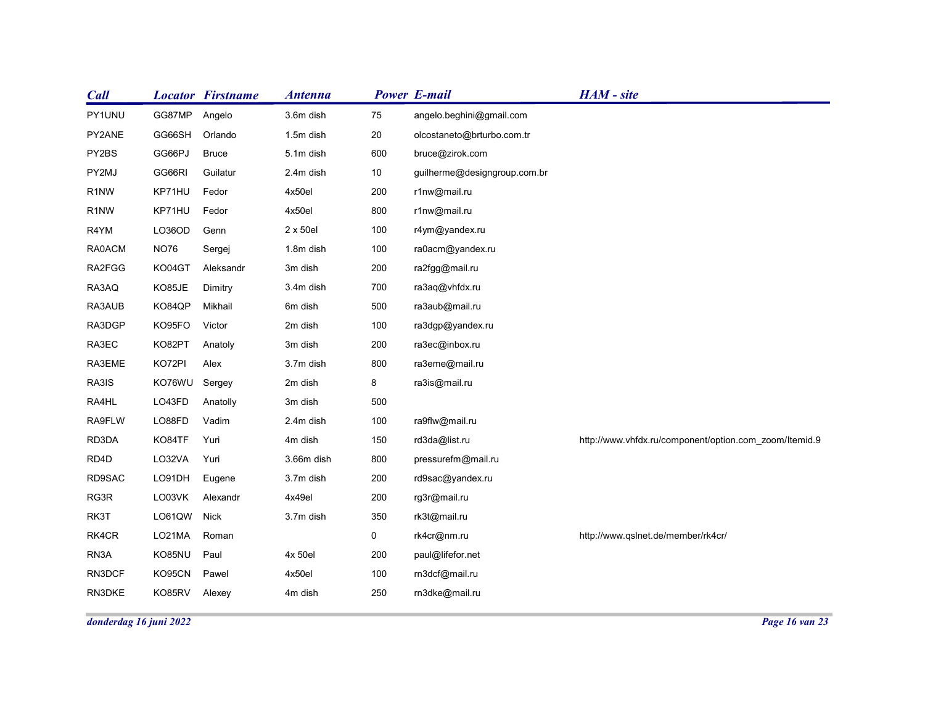| <b>Call</b>            |                  | <b>Locator Firstname</b> | <b>Antenna</b>       |                | <b>Power E-mail</b>             | HAM - site                                             |
|------------------------|------------------|--------------------------|----------------------|----------------|---------------------------------|--------------------------------------------------------|
| PY1UNU                 | GG87MP           | Angelo                   | 3.6m dish            | 75             | angelo.beghini@gmail.com        |                                                        |
| PY2ANE                 | GG66SH           | Orlando                  | 1.5m dish            | 20             | olcostaneto@brturbo.com.tr      |                                                        |
| PY2BS                  | GG66PJ           | <b>Bruce</b>             | 5.1m dish            | 600            | bruce@zirok.com                 |                                                        |
| PY2MJ                  | GG66RI           | Guilatur                 | 2.4m dish            | 10             | guilherme@designgroup.com.br    |                                                        |
| R <sub>1</sub> NW      | KP71HU           | Fedor                    | 4x50el               | 200            | r1nw@mail.ru                    |                                                        |
| R <sub>1</sub> NW      | KP71HU           | Fedor                    | 4x50el               | 800            | r1nw@mail.ru                    |                                                        |
| R4YM                   | LO36OD           | Genn                     | 2 x 50el             | 100            | r4ym@yandex.ru                  |                                                        |
| RA0ACM                 | <b>NO76</b>      | Sergej                   | 1.8m dish            | 100            | ra0acm@yandex.ru                |                                                        |
| RA2FGG                 | KO04GT           | Aleksandr                | 3m dish              | 200            | ra2fgg@mail.ru                  |                                                        |
| RA3AQ                  | KO85JE           | Dimitry                  | 3.4m dish            | 700            | ra3aq@vhfdx.ru                  |                                                        |
| RA3AUB                 | KO84QP           | Mikhail                  | 6m dish              | 500            | ra3aub@mail.ru                  |                                                        |
| RA3DGP                 | KO95FO           | Victor                   | 2m dish              | 100            | ra3dgp@yandex.ru                |                                                        |
| RA3EC                  | KO82PT           | Anatoly                  | 3m dish              | 200            | ra3ec@inbox.ru                  |                                                        |
| RA3EME                 | KO72PI           | Alex                     | 3.7m dish            | 800            | ra3eme@mail.ru                  |                                                        |
| RA3IS                  | KO76WU Sergey    |                          | 2m dish              | 8              | ra3is@mail.ru                   |                                                        |
| RA4HL                  | LO43FD           | Anatolly<br>Vadim        | 3m dish              | 500            |                                 |                                                        |
| RA9FLW<br>RD3DA        | LO88FD<br>KO84TF | Yuri                     | 2.4m dish<br>4m dish | 100<br>150     | ra9flw@mail.ru<br>rd3da@list.ru | http://www.vhfdx.ru/component/option.com_zoom/Itemid.9 |
| RD4D                   | LO32VA           | Yuri                     | 3.66m dish           | 800            | pressurefm@mail.ru              |                                                        |
| RD9SAC                 | LO91DH           | Eugene                   | 3.7m dish            | 200            | rd9sac@yandex.ru                |                                                        |
| RG3R                   | LO03VK           | Alexandr                 | 4x49el               | 200            | rg3r@mail.ru                    |                                                        |
| RK3T                   | LO61QW Nick      |                          | 3.7m dish            | 350            | rk3t@mail.ru                    |                                                        |
| RK4CR                  | LO21MA           | Roman                    |                      | $\overline{0}$ | rk4cr@nm.ru                     | http://www.qslnet.de/member/rk4cr/                     |
| RN3A                   | KO85NU           | Paul                     | 4x 50el              | 200            | paul@lifefor.net                |                                                        |
| RN3DCF                 | KO95CN           | Pawel                    | 4x50el               | 100            | rn3dcf@mail.ru                  |                                                        |
| RN3DKE                 | KO85RV           | Alexey                   | 4m dish              | 250            | rn3dke@mail.ru                  |                                                        |
|                        |                  |                          |                      |                |                                 |                                                        |
| donderdag 16 juni 2022 |                  |                          |                      |                |                                 | Page 16 van 23                                         |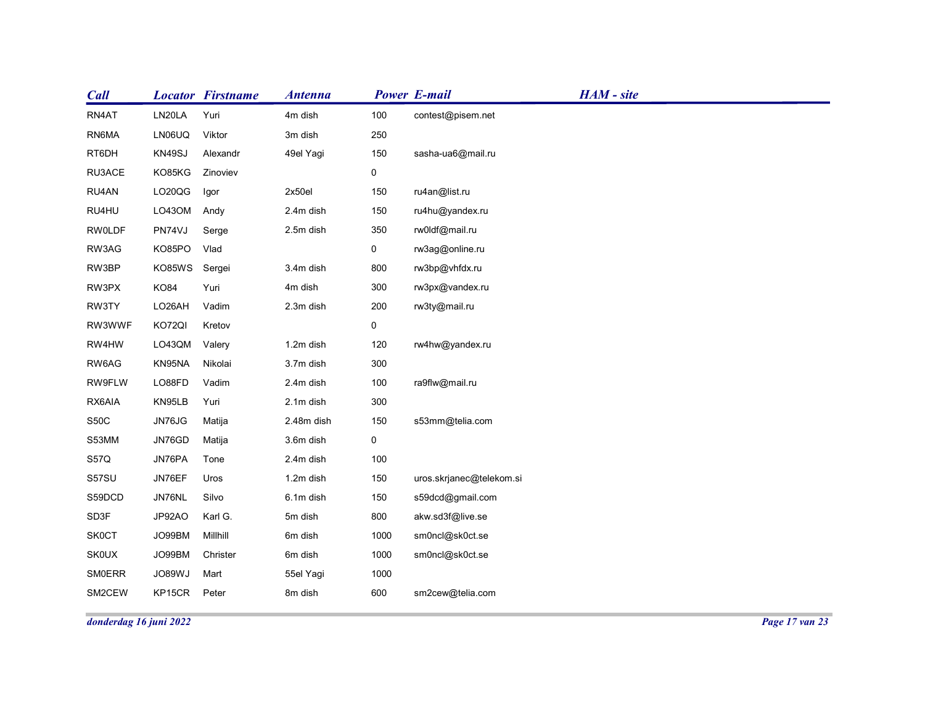| <b>Call</b>                  |                        | <b>Locator Firstname</b> | <b>Antenna</b>     |                | <b>Power E-mail</b>                | HAM - site |  |
|------------------------------|------------------------|--------------------------|--------------------|----------------|------------------------------------|------------|--|
| RN4AT                        | LN20LA                 | Yuri                     | 4m dish            | 100            | contest@pisem.net                  |            |  |
| RN6MA                        | LN06UQ                 | Viktor                   | 3m dish            | 250            |                                    |            |  |
| RT6DH                        | KN49SJ                 | Alexandr                 | 49el Yagi          | 150            | sasha-ua6@mail.ru                  |            |  |
| RU3ACE                       | KO85KG                 | Zinoviev                 |                    | $\overline{0}$ |                                    |            |  |
| RU4AN                        | LO20QG                 | Igor                     | 2x50el             | 150            | ru4an@list.ru                      |            |  |
| RU4HU                        | LO43OM                 | Andy                     | 2.4m dish          | 150            | ru4hu@yandex.ru                    |            |  |
| <b>RW0LDF</b>                | PN74VJ                 | Serge                    | 2.5m dish          | 350            | rw0ldf@mail.ru                     |            |  |
| RW3AG                        | KO85PO                 | Vlad                     |                    | $\mathbf 0$    | rw3ag@online.ru                    |            |  |
| RW3BP                        | KO85WS                 | Sergei                   | 3.4m dish          | 800            | rw3bp@vhfdx.ru                     |            |  |
| RW3PX                        | <b>KO84</b>            | Yuri                     | 4m dish            | 300            | rw3px@vandex.ru                    |            |  |
| RW3TY                        | LO26AH                 | Vadim                    | 2.3m dish          | 200            | rw3ty@mail.ru                      |            |  |
| RW3WWF                       | KO72QI                 | Kretov                   |                    | $\mathbf 0$    |                                    |            |  |
| RW4HW                        | LO43QM                 | Valery                   | 1.2m dish          | 120            | rw4hw@yandex.ru                    |            |  |
| RW6AG                        | KN95NA                 | Nikolai                  | 3.7m dish          | 300            |                                    |            |  |
| RW9FLW                       | LO88FD                 | Vadim                    | 2.4m dish          | 100            | ra9flw@mail.ru                     |            |  |
| RX6AIA                       | KN95LB                 | Yuri                     | 2.1m dish          | 300            |                                    |            |  |
| S50C                         | JN76JG                 | Matija                   | 2.48m dish         | 150            | s53mm@telia.com                    |            |  |
| S53MM                        | JN76GD                 | Matija                   | 3.6m dish          | $\overline{0}$ |                                    |            |  |
| <b>S57Q</b>                  | JN76PA                 | Tone                     | 2.4m dish          | 100            |                                    |            |  |
| S57SU                        | JN76EF                 | Uros                     | 1.2m dish          | 150            | uros.skrjanec@telekom.si           |            |  |
| S59DCD                       | JN76NL                 | Silvo                    | 6.1m dish          | 150            | s59dcd@gmail.com                   |            |  |
| SD3F                         | JP92AO                 | Karl G.<br>Millhill      | 5m dish            | 800<br>1000    | akw.sd3f@live.se                   |            |  |
| <b>SK0CT</b><br><b>SK0UX</b> | JO99BM<br>JO99BM       | Christer                 | 6m dish<br>6m dish | 1000           | sm0ncl@sk0ct.se<br>sm0ncl@sk0ct.se |            |  |
| SMOERR                       | JO89WJ                 | Mart                     | 55el Yagi          | 1000           |                                    |            |  |
| SM2CEW                       | KP15CR                 | Peter                    | 8m dish            | 600            | sm2cew@telia.com                   |            |  |
|                              |                        |                          |                    |                |                                    |            |  |
|                              | donderdag 16 juni 2022 |                          |                    |                |                                    |            |  |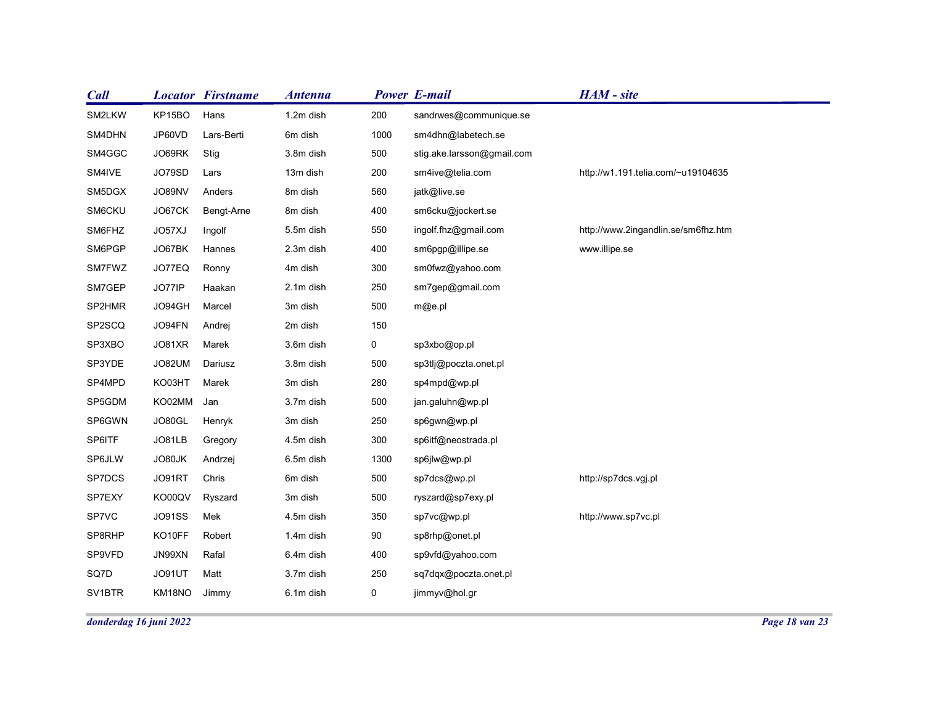| JO89NV           |                                                                                                                                       | 8m dish                                                                                                                                                                                                                                                             | 560                                                                                                                                                                            |                                                                                          |                                                                                                                                                                                                                                                                                                                                                     |                                                                                                 |
|------------------|---------------------------------------------------------------------------------------------------------------------------------------|---------------------------------------------------------------------------------------------------------------------------------------------------------------------------------------------------------------------------------------------------------------------|--------------------------------------------------------------------------------------------------------------------------------------------------------------------------------|------------------------------------------------------------------------------------------|-----------------------------------------------------------------------------------------------------------------------------------------------------------------------------------------------------------------------------------------------------------------------------------------------------------------------------------------------------|-------------------------------------------------------------------------------------------------|
| JO67CK           |                                                                                                                                       | 8m dish                                                                                                                                                                                                                                                             | 400                                                                                                                                                                            | sm6cku@jockert.se                                                                        |                                                                                                                                                                                                                                                                                                                                                     |                                                                                                 |
| JO57XJ           |                                                                                                                                       | 5.5m dish                                                                                                                                                                                                                                                           | 550                                                                                                                                                                            | ingolf.fhz@gmail.com                                                                     | http://www.2ingandlin.se/sm6fhz.htm                                                                                                                                                                                                                                                                                                                 |                                                                                                 |
| JO67BK           |                                                                                                                                       | 2.3m dish                                                                                                                                                                                                                                                           | 400                                                                                                                                                                            | sm6pgp@illipe.se                                                                         | www.illipe.se                                                                                                                                                                                                                                                                                                                                       |                                                                                                 |
| JO77EQ           |                                                                                                                                       | 4m dish                                                                                                                                                                                                                                                             | 300                                                                                                                                                                            | sm0fwz@yahoo.com                                                                         |                                                                                                                                                                                                                                                                                                                                                     |                                                                                                 |
| JO77IP           |                                                                                                                                       | 2.1m dish                                                                                                                                                                                                                                                           | 250                                                                                                                                                                            | sm7gep@gmail.com                                                                         |                                                                                                                                                                                                                                                                                                                                                     |                                                                                                 |
| JO94GH           |                                                                                                                                       | 3m dish                                                                                                                                                                                                                                                             | 500                                                                                                                                                                            | m@e.pl                                                                                   |                                                                                                                                                                                                                                                                                                                                                     |                                                                                                 |
| JO94FN           |                                                                                                                                       | 2m dish                                                                                                                                                                                                                                                             | 150                                                                                                                                                                            |                                                                                          |                                                                                                                                                                                                                                                                                                                                                     |                                                                                                 |
| JO81XR           |                                                                                                                                       | 3.6m dish                                                                                                                                                                                                                                                           | $\mathbf 0$                                                                                                                                                                    |                                                                                          |                                                                                                                                                                                                                                                                                                                                                     |                                                                                                 |
| JO82UM           |                                                                                                                                       | 3.8m dish                                                                                                                                                                                                                                                           | 500                                                                                                                                                                            |                                                                                          |                                                                                                                                                                                                                                                                                                                                                     |                                                                                                 |
| KO03HT           |                                                                                                                                       | 3m dish                                                                                                                                                                                                                                                             | 280                                                                                                                                                                            | sp4mpd@wp.pl                                                                             |                                                                                                                                                                                                                                                                                                                                                     |                                                                                                 |
|                  |                                                                                                                                       |                                                                                                                                                                                                                                                                     |                                                                                                                                                                                |                                                                                          |                                                                                                                                                                                                                                                                                                                                                     |                                                                                                 |
|                  |                                                                                                                                       |                                                                                                                                                                                                                                                                     |                                                                                                                                                                                |                                                                                          |                                                                                                                                                                                                                                                                                                                                                     |                                                                                                 |
|                  |                                                                                                                                       |                                                                                                                                                                                                                                                                     |                                                                                                                                                                                |                                                                                          |                                                                                                                                                                                                                                                                                                                                                     |                                                                                                 |
|                  |                                                                                                                                       |                                                                                                                                                                                                                                                                     |                                                                                                                                                                                |                                                                                          |                                                                                                                                                                                                                                                                                                                                                     |                                                                                                 |
|                  |                                                                                                                                       |                                                                                                                                                                                                                                                                     |                                                                                                                                                                                |                                                                                          |                                                                                                                                                                                                                                                                                                                                                     |                                                                                                 |
|                  |                                                                                                                                       |                                                                                                                                                                                                                                                                     |                                                                                                                                                                                |                                                                                          |                                                                                                                                                                                                                                                                                                                                                     |                                                                                                 |
|                  |                                                                                                                                       |                                                                                                                                                                                                                                                                     |                                                                                                                                                                                |                                                                                          |                                                                                                                                                                                                                                                                                                                                                     |                                                                                                 |
|                  |                                                                                                                                       |                                                                                                                                                                                                                                                                     |                                                                                                                                                                                |                                                                                          |                                                                                                                                                                                                                                                                                                                                                     |                                                                                                 |
|                  | Matt                                                                                                                                  | 3.7m dish                                                                                                                                                                                                                                                           | 250                                                                                                                                                                            | sq7dqx@poczta.onet.pl                                                                    |                                                                                                                                                                                                                                                                                                                                                     |                                                                                                 |
|                  |                                                                                                                                       |                                                                                                                                                                                                                                                                     |                                                                                                                                                                                |                                                                                          |                                                                                                                                                                                                                                                                                                                                                     |                                                                                                 |
| JO91UT<br>KM18NO | Jimmy                                                                                                                                 | 6.1m dish                                                                                                                                                                                                                                                           | $\mathbf 0$                                                                                                                                                                    | jimmyv@hol.gr                                                                            |                                                                                                                                                                                                                                                                                                                                                     |                                                                                                 |
|                  | KP15BO<br>JP60VD<br>JO69RK<br>JO79SD<br>KO02MM<br>JO80GL<br>JO81LB<br>JO80JK<br>JO91RT<br>KO00QV<br><b>JO91SS</b><br>KO10FF<br>JN99XN | <b>Locator Firstname</b><br>Hans<br>Lars-Berti<br>Stig<br>Lars<br>Anders<br>Bengt-Arne<br>Ingolf<br>Hannes<br>Ronny<br>Haakan<br>Marcel<br>Andrej<br>Marek<br>Dariusz<br>Marek<br>Jan<br>Henryk<br>Gregory<br>Andrzej<br>Chris<br>Ryszard<br>Mek<br>Robert<br>Rafal | <b>Antenna</b><br>1.2m dish<br>6m dish<br>3.8m dish<br>13m dish<br>3.7m dish<br>3m dish<br>4.5m dish<br>6.5m dish<br>6m dish<br>3m dish<br>4.5m dish<br>1.4m dish<br>6.4m dish | 200<br>1000<br>500<br>200<br>500<br>250<br>300<br>1300<br>500<br>500<br>350<br>90<br>400 | <b>Power E-mail</b><br>sandrwes@communique.se<br>sm4dhn@labetech.se<br>stig.ake.larsson@gmail.com<br>sm4ive@telia.com<br>jatk@live.se<br>sp3xbo@op.pl<br>sp3tlj@poczta.onet.pl<br>jan.galuhn@wp.pl<br>sp6gwn@wp.pl<br>sp6itf@neostrada.pl<br>sp6jlw@wp.pl<br>sp7dcs@wp.pl<br>ryszard@sp7exy.pl<br>sp7vc@wp.pl<br>sp8rhp@onet.pl<br>sp9vfd@yahoo.com | HAM - site<br>http://w1.191.telia.com/~u19104635<br>http://sp7dcs.vgj.pl<br>http://www.sp7vc.pl |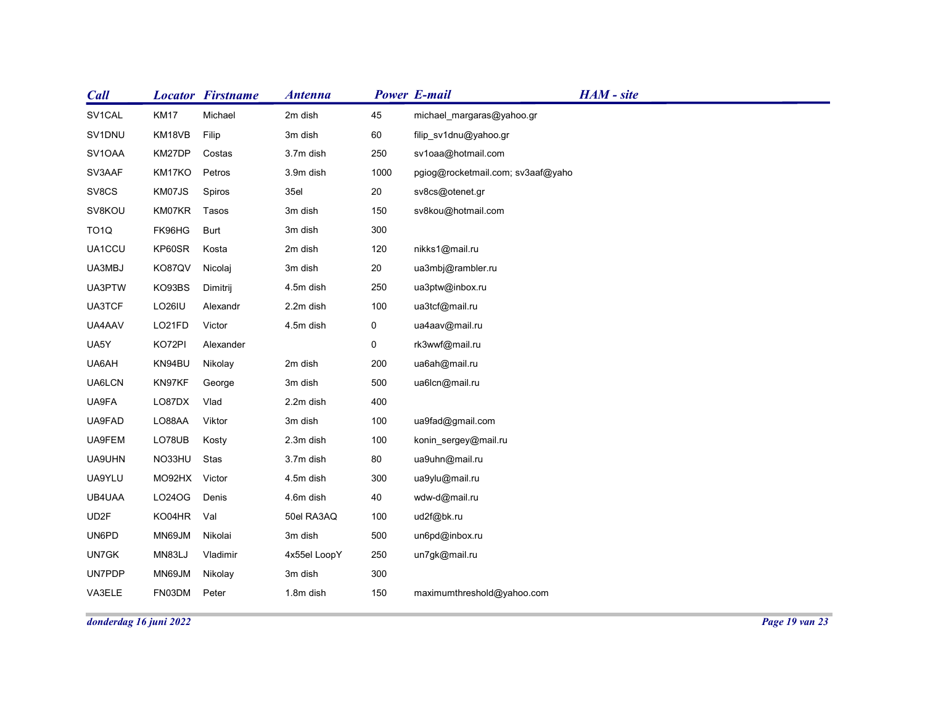| <b>Call</b>       |                        | <b>Locator Firstname</b> | <b>Antenna</b> |                | <b>Power E-mail</b>               | HAM - site |  |
|-------------------|------------------------|--------------------------|----------------|----------------|-----------------------------------|------------|--|
| SV1CAL            | <b>KM17</b>            | Michael                  | 2m dish        | 45             | michael_margaras@yahoo.gr         |            |  |
| SV1DNU            | KM18VB                 | Filip                    | 3m dish        | 60             | filip_sv1dnu@yahoo.gr             |            |  |
| SV1OAA            | KM27DP                 | Costas                   | 3.7m dish      | 250            | sv1oaa@hotmail.com                |            |  |
| SV3AAF            | KM17KO                 | Petros                   | 3.9m dish      | 1000           | pgiog@rocketmail.com; sv3aaf@yaho |            |  |
| SV8CS             | KM07JS                 | Spiros                   | 35el           | 20             | sv8cs@otenet.gr                   |            |  |
| SV8KOU            | KM07KR                 | Tasos                    | 3m dish        | 150            | sv8kou@hotmail.com                |            |  |
| TO <sub>1</sub> Q | FK96HG                 | Burt                     | 3m dish        | 300            |                                   |            |  |
| UA1CCU            | KP60SR                 | Kosta                    | 2m dish        | 120            | nikks1@mail.ru                    |            |  |
| UA3MBJ            | KO87QV                 | Nicolaj                  | 3m dish        | 20             | ua3mbj@rambler.ru                 |            |  |
| UA3PTW            | KO93BS                 | Dimitrij                 | 4.5m dish      | 250            | ua3ptw@inbox.ru                   |            |  |
| UA3TCF            | LO26IU                 | Alexandr                 | 2.2m dish      | 100            | ua3tcf@mail.ru                    |            |  |
| UA4AAV            | LO21FD                 | Victor                   | 4.5m dish      | $\mathbf 0$    | ua4aav@mail.ru                    |            |  |
| UA5Y              | KO72PI                 | Alexander                |                | $\overline{0}$ | rk3wwf@mail.ru                    |            |  |
| UA6AH             | KN94BU                 | Nikolay                  | 2m dish        | 200            | ua6ah@mail.ru                     |            |  |
| UA6LCN            | KN97KF                 | George                   | 3m dish        | 500            | ua6lcn@mail.ru                    |            |  |
| UA9FA             | LO87DX Vlad            |                          | 2.2m dish      | 400            |                                   |            |  |
| UA9FAD            | LO88AA                 | Viktor                   | 3m dish        | 100            | ua9fad@gmail.com                  |            |  |
| UA9FEM            | LO78UB                 | Kosty                    | 2.3m dish      | 100            | konin_sergey@mail.ru              |            |  |
| UA9UHN            | NO33HU Stas            |                          | 3.7m dish      | 80             | ua9uhn@mail.ru                    |            |  |
| UA9YLU            | MO92HX Victor          |                          | 4.5m dish      | 300            | ua9ylu@mail.ru                    |            |  |
| UB4UAA            | LO24OG                 | Denis                    | 4.6m dish      | 40             | wdw-d@mail.ru                     |            |  |
| UD2F              | KO04HR Val             |                          | 50el RA3AQ     | 100            | ud2f@bk.ru                        |            |  |
| UN6PD             | MN69JM                 | Nikolai                  | 3m dish        | 500            | un6pd@inbox.ru                    |            |  |
| UN7GK             | MN83LJ                 | Vladimir                 | 4x55el LoopY   | 250            | un7gk@mail.ru                     |            |  |
| <b>UN7PDP</b>     | MN69JM                 | Nikolay                  | 3m dish        | 300            |                                   |            |  |
| VA3ELE            | FN03DM                 | Peter                    | 1.8m dish      | 150            | maximumthreshold@yahoo.com        |            |  |
|                   | donderdag 16 juni 2022 |                          |                |                |                                   |            |  |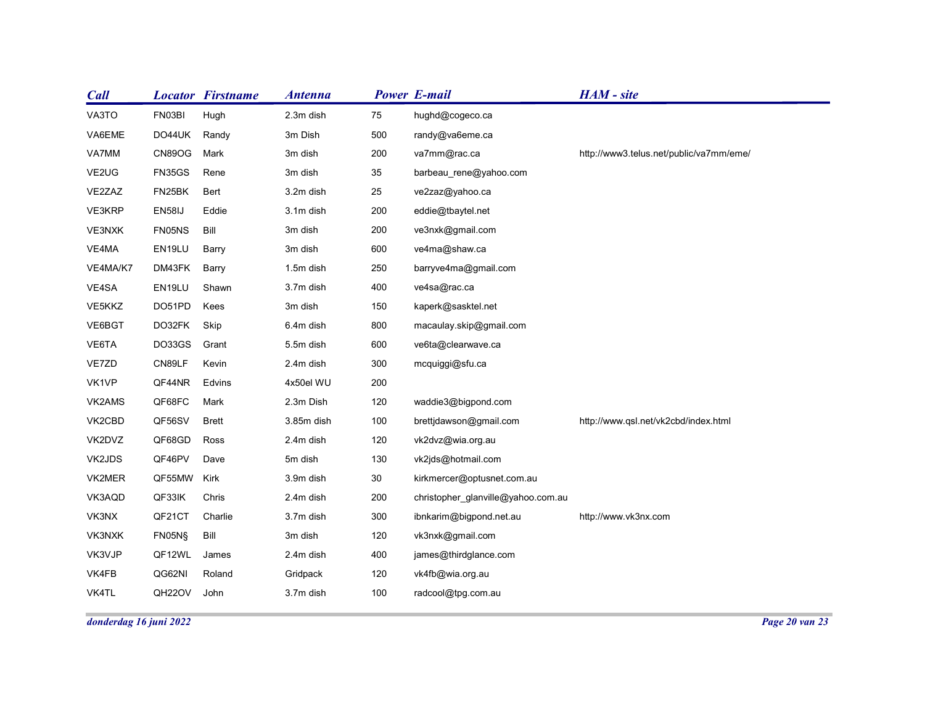| <b>Locator Firstname</b><br><b>Call</b><br><b>Antenna</b>           | <b>Power E-mail</b> |                                             | HAM - site                              |
|---------------------------------------------------------------------|---------------------|---------------------------------------------|-----------------------------------------|
| VA3TO<br>FN03BI<br>Hugh<br>2.3m dish                                | 75                  | hughd@cogeco.ca                             |                                         |
| DO44UK<br>Randy<br>3m Dish<br>VA6EME                                | 500                 | randy@va6eme.ca                             |                                         |
| <b>CN89OG</b><br>Mark<br>VA7MM<br>3m dish                           | 200                 | va7mm@rac.ca                                | http://www3.telus.net/public/va7mm/eme/ |
| VE2UG<br>FN35GS<br>Rene<br>3m dish                                  | 35                  | barbeau_rene@yahoo.com                      |                                         |
| FN25BK<br>VE2ZAZ<br>Bert<br>3.2m dish                               | 25                  | ve2zaz@yahoo.ca                             |                                         |
| EN58IJ<br>VE3KRP<br>Eddie<br>3.1m dish                              | 200                 | eddie@tbaytel.net                           |                                         |
| FN05NS<br>Bill<br>3m dish<br>VE3NXK                                 | 200                 | ve3nxk@gmail.com                            |                                         |
| EN19LU<br>VE4MA<br>Barry<br>3m dish                                 | 600                 | ve4ma@shaw.ca                               |                                         |
| DM43FK<br>1.5m dish<br>Barry<br>VE4MA/K7                            | 250                 | barryve4ma@gmail.com                        |                                         |
| Shawn<br>3.7m dish<br>VE4SA<br>EN19LU                               | 400                 | ve4sa@rac.ca                                |                                         |
| VE5KKZ<br>DO51PD<br>Kees<br>3m dish                                 | 150                 | kaperk@sasktel.net                          |                                         |
| Skip<br>6.4m dish<br>VE6BGT<br>DO32FK                               | 800                 | macaulay.skip@gmail.com                     |                                         |
| VE6TA<br>DO33GS<br>Grant<br>5.5m dish                               | 600                 | ve6ta@clearwave.ca                          |                                         |
| VE7ZD<br>CN89LF<br>Kevin<br>2.4m dish                               | 300                 | mcquiggi@sfu.ca                             |                                         |
| VK1VP<br>QF44NR<br>Edvins<br>4x50el WU                              | 200                 |                                             |                                         |
| QF68FC<br>Mark<br>VK2AMS<br>2.3m Dish<br><b>Brett</b><br>3.85m dish | 120                 | waddie3@bigpond.com                         |                                         |
| QF56SV<br>VK2CBD<br>VK2DVZ<br>QF68GD<br>Ross<br>2.4m dish           | 100<br>120          | brettjdawson@gmail.com<br>vk2dvz@wia.org.au | http://www.qsl.net/vk2cbd/index.html    |
| QF46PV<br>VK2JDS<br>Dave<br>5m dish                                 | 130                 | vk2jds@hotmail.com                          |                                         |
| QF55MW Kirk<br>VK2MER<br>3.9m dish                                  | 30                  | kirkmercer@optusnet.com.au                  |                                         |
| VK3AQD<br>QF33IK<br>Chris<br>2.4m dish                              | 200                 | christopher_glanville@yahoo.com.au          |                                         |
| VK3NX<br>QF21CT<br>Charlie<br>3.7m dish                             | 300                 | ibnkarim@bigpond.net.au                     | http://www.vk3nx.com                    |
| 3m dish<br>FN05N§<br>Bill<br>VK3NXK                                 | 120                 | vk3nxk@gmail.com                            |                                         |
| VK3VJP<br>QF12WL<br>James<br>2.4m dish                              | 400                 | james@thirdglance.com                       |                                         |
| QG62NI<br>Roland<br>Gridpack<br>VK4FB                               | 120                 | vk4fb@wia.org.au                            |                                         |
| VK4TL<br>QH22OV<br>3.7m dish<br>John                                | 100                 | radcool@tpg.com.au                          |                                         |
|                                                                     |                     |                                             |                                         |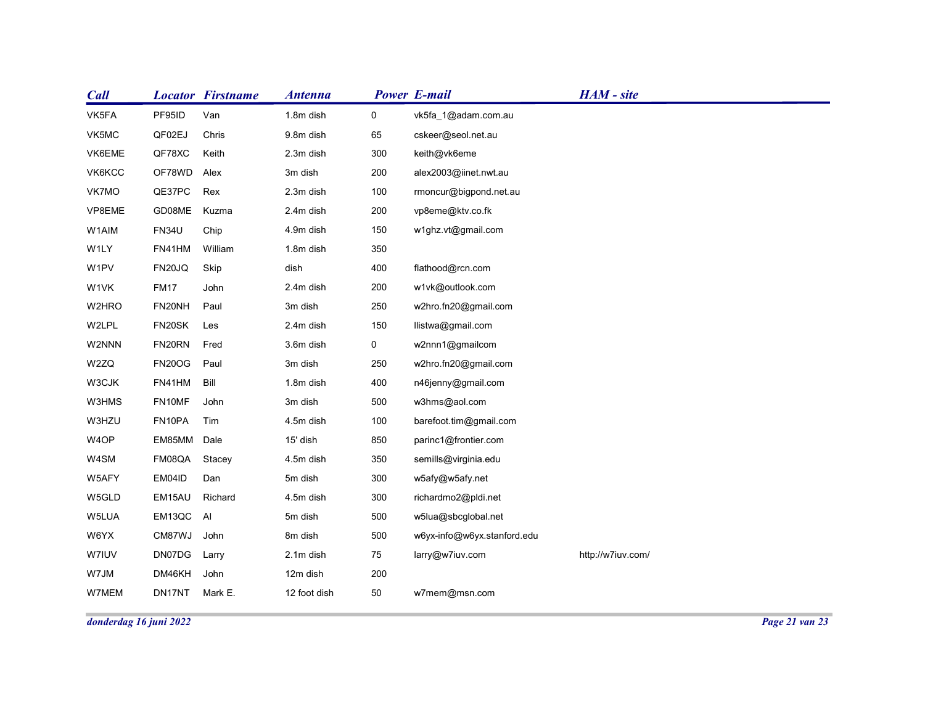| Call         | <b>Locator Firstname</b>              | <b>Antenna</b>    |                | <b>Power E-mail</b>                  | HAM - site        |  |
|--------------|---------------------------------------|-------------------|----------------|--------------------------------------|-------------------|--|
| VK5FA        | PF95ID<br>Van                         | 1.8m dish         | $\overline{0}$ | vk5fa_1@adam.com.au                  |                   |  |
| VK5MC        | QF02EJ<br>Chris                       | 9.8m dish         | 65             | cskeer@seol.net.au                   |                   |  |
| VK6EME       | QF78XC<br>Keith                       | 2.3m dish         | 300            | keith@vk6eme                         |                   |  |
| VK6KCC       | OF78WD<br>Alex                        | 3m dish           | 200            | alex2003@iinet.nwt.au                |                   |  |
| VK7MO        | QE37PC<br>Rex                         | 2.3m dish         | 100            | rmoncur@bigpond.net.au               |                   |  |
| VP8EME       | GD08ME<br>Kuzma                       | 2.4m dish         | 200            | vp8eme@ktv.co.fk                     |                   |  |
| W1AIM        | <b>FN34U</b><br>Chip                  | 4.9m dish         | 150            | w1ghz.vt@gmail.com                   |                   |  |
| W1LY         | William<br>FN41HM                     | 1.8m dish<br>dish | 350            |                                      |                   |  |
| W1PV<br>W1VK | FN20JQ<br>Skip<br><b>FM17</b><br>John | 2.4m dish         | 400<br>200     | flathood@rcn.com<br>w1vk@outlook.com |                   |  |
| W2HRO        | FN20NH<br>Paul                        | 3m dish           | 250            | w2hro.fn20@gmail.com                 |                   |  |
| W2LPL        | FN20SK<br>Les                         | 2.4m dish         | 150            | llistwa@gmail.com                    |                   |  |
| W2NNN        | FN20RN<br>Fred                        | 3.6m dish         | $\overline{0}$ | w2nnn1@gmailcom                      |                   |  |
| W2ZQ         | Paul<br><b>FN20OG</b>                 | 3m dish           | 250            | w2hro.fn20@gmail.com                 |                   |  |
| W3CJK        | FN41HM Bill                           | 1.8m dish         | 400            | n46jenny@gmail.com                   |                   |  |
| W3HMS        | FN10MF<br>John                        | 3m dish           | 500            | w3hms@aol.com                        |                   |  |
| W3HZU        | FN10PA Tim                            | 4.5m dish         | 100            | barefoot.tim@gmail.com               |                   |  |
| W4OP         | EM85MM Dale                           | 15' dish          | 850            | parinc1@frontier.com                 |                   |  |
| W4SM         | FM08QA<br>Stacey                      | 4.5m dish         | 350            | semills@virginia.edu                 |                   |  |
| W5AFY        | EM04ID<br>Dan                         | 5m dish           | 300            | w5afy@w5afy.net                      |                   |  |
| W5GLD        | Richard<br>EM15AU                     | 4.5m dish         | 300            | richardmo2@pldi.net                  |                   |  |
| W5LUA        | EM13QC AI                             | 5m dish           | 500            | w5lua@sbcglobal.net                  |                   |  |
| W6YX         | CM87WJ John                           | 8m dish           | 500            | w6yx-info@w6yx.stanford.edu          |                   |  |
| <b>W7IUV</b> | DN07DG<br>Larry                       | 2.1m dish         | 75             | larry@w7iuv.com                      | http://w7iuv.com/ |  |
| W7JM         | DM46KH<br>John                        | 12m dish          | 200            |                                      |                   |  |
| W7MEM        | DN17NT<br>Mark E.                     | 12 foot dish      | 50             | w7mem@msn.com                        |                   |  |
|              |                                       |                   |                |                                      |                   |  |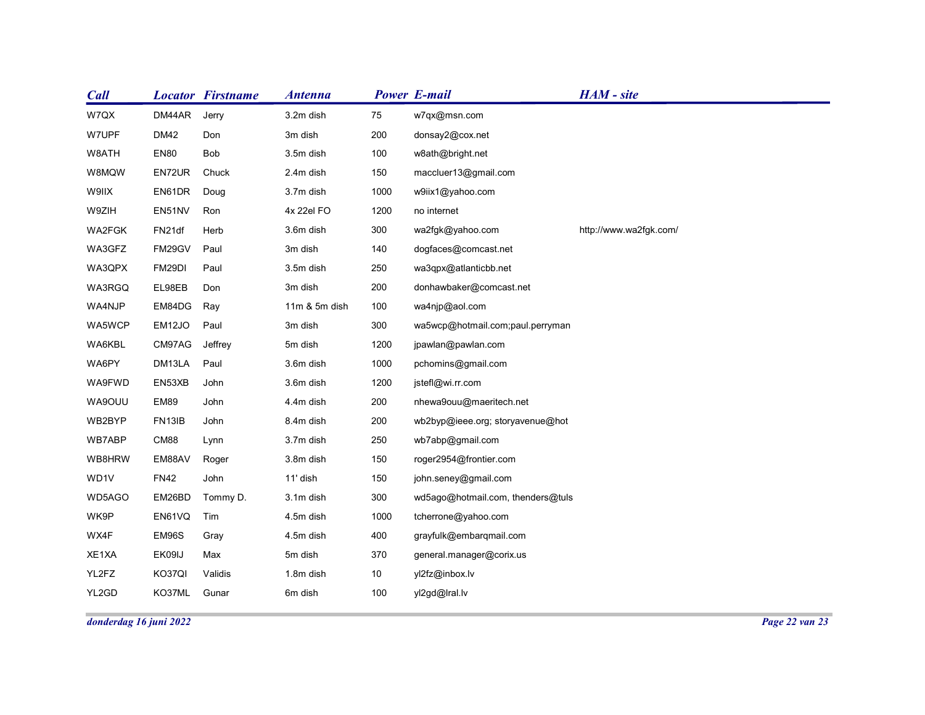| <b>Call</b>    |                       | <b>Locator Firstname</b> | <b>Antenna</b>         |            | <b>Power E-mail</b>                            | HAM - site             |  |
|----------------|-----------------------|--------------------------|------------------------|------------|------------------------------------------------|------------------------|--|
| W7QX           | DM44AR                | Jerry                    | 3.2m dish              | 75         | w7qx@msn.com                                   |                        |  |
| W7UPF          | <b>DM42</b>           | Don                      | 3m dish                | 200        | donsay2@cox.net                                |                        |  |
| W8ATH          | <b>EN80</b>           | Bob                      | 3.5m dish              | 100        | w8ath@bright.net                               |                        |  |
| W8MQW          | EN72UR                | Chuck                    | 2.4m dish              | 150        | maccluer13@gmail.com                           |                        |  |
| W9IIX          | EN61DR                | Doug                     | 3.7m dish              | 1000       | w9iix1@yahoo.com                               |                        |  |
| W9ZIH          | EN51NV                | Ron                      | 4x 22el FO             | 1200       | no internet                                    |                        |  |
| WA2FGK         | FN21df                | Herb                     | 3.6m dish              | 300        | wa2fgk@yahoo.com                               | http://www.wa2fgk.com/ |  |
| WA3GFZ         | FM29GV                | Paul                     | 3m dish                | 140        | dogfaces@comcast.net                           |                        |  |
| WA3QPX         | FM29DI                | Paul                     | 3.5m dish              | 250        | wa3qpx@atlanticbb.net                          |                        |  |
| WA3RGQ         | EL98EB                | Don                      | 3m dish                | 200        | donhawbaker@comcast.net                        |                        |  |
| WA4NJP         | EM84DG                | Ray                      | 11m & 5m dish          | 100        | wa4njp@aol.com                                 |                        |  |
| WA5WCP         | EM12JO                | Paul                     | 3m dish                | 300        | wa5wcp@hotmail.com;paul.perryman               |                        |  |
| WA6KBL         | CM97AG                | Jeffrey                  | 5m dish                | 1200       | jpawlan@pawlan.com                             |                        |  |
| WA6PY          | DM13LA                | Paul                     | 3.6m dish              | 1000       | pchomins@gmail.com                             |                        |  |
| WA9FWD         | EN53XB                | John                     | 3.6m dish              | 1200       | jstefl@wi.rr.com                               |                        |  |
| WA9OUU         | EM89                  | John                     | 4.4m dish              | 200        | nhewa9ouu@maeritech.net                        |                        |  |
| WB2BYP         | FN13IB                | John                     | 8.4m dish              | 200        | wb2byp@ieee.org; storyavenue@hot               |                        |  |
| WB7ABP         | CM88                  | Lynn                     | 3.7m dish<br>3.8m dish | 250        | wb7abp@gmail.com                               |                        |  |
| WB8HRW<br>WD1V | EM88AV<br><b>FN42</b> | Roger<br>John            | 11' dish               | 150<br>150 | roger2954@frontier.com<br>john.seney@gmail.com |                        |  |
| WD5AGO         | EM26BD                | Tommy D.                 | 3.1m dish              | 300        | wd5ago@hotmail.com, thenders@tuls              |                        |  |
| WK9P           | EN61VQ Tim            |                          | 4.5m dish              | 1000       | tcherrone@yahoo.com                            |                        |  |
|                |                       |                          |                        |            |                                                |                        |  |
| WX4F<br>XE1XA  | EM96S<br>EK09IJ       | Gray                     | 4.5m dish              | 400        | grayfulk@embarqmail.com                        |                        |  |
|                | KO37QI                | Max<br>Validis           | 5m dish<br>1.8m dish   | 370<br>10  | general.manager@corix.us                       |                        |  |
|                |                       |                          | 6m dish                | 100        | yl2fz@inbox.lv                                 |                        |  |
| YL2FZ<br>YL2GD | KO37ML Gunar          |                          |                        |            | yl2gd@lral.lv                                  |                        |  |